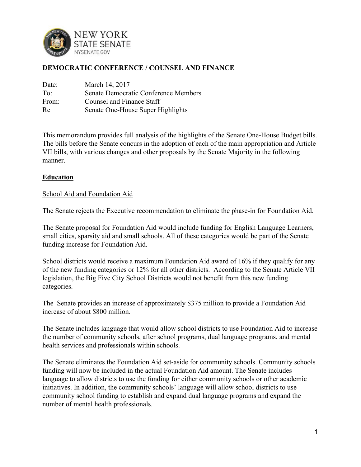

## **DEMOCRATIC CONFERENCE / COUNSEL AND FINANCE**

| Date: | March 14, 2017                       |
|-------|--------------------------------------|
| To:   | Senate Democratic Conference Members |
| From: | Counsel and Finance Staff            |
| Re    | Senate One-House Super Highlights    |
|       |                                      |

This memorandum provides full analysis of the highlights of the Senate One-House Budget bills. The bills before the Senate concurs in the adoption of each of the main appropriation and Article VII bills, with various changes and other proposals by the Senate Majority in the following manner.

### **Education**

#### School Aid and Foundation Aid

The Senate rejects the Executive recommendation to eliminate the phase-in for Foundation Aid.

The Senate proposal for Foundation Aid would include funding for English Language Learners, small cities, sparsity aid and small schools. All of these categories would be part of the Senate funding increase for Foundation Aid.

School districts would receive a maximum Foundation Aid award of 16% if they qualify for any of the new funding categories or 12% for all other districts. According to the Senate Article VII legislation, the Big Five City School Districts would not benefit from this new funding categories.

The Senate provides an increase of approximately \$375 million to provide a Foundation Aid increase of about \$800 million.

The Senate includes language that would allow school districts to use Foundation Aid to increase the number of community schools, after school programs, dual language programs, and mental health services and professionals within schools.

The Senate eliminates the Foundation Aid set-aside for community schools. Community schools funding will now be included in the actual Foundation Aid amount. The Senate includes language to allow districts to use the funding for either community schools or other academic initiatives. In addition, the community schools' language will allow school districts to use community school funding to establish and expand dual language programs and expand the number of mental health professionals.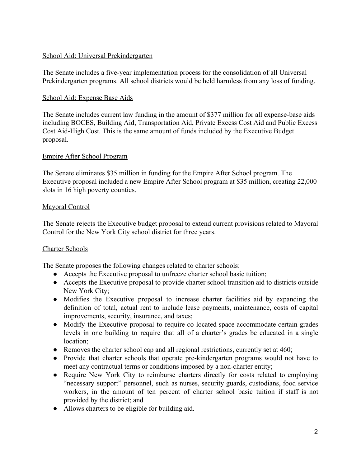## School Aid: Universal Prekindergarten

The Senate includes a five-year implementation process for the consolidation of all Universal Prekindergarten programs. All school districts would be held harmless from any loss of funding.

## School Aid: Expense Base Aids

The Senate includes current law funding in the amount of \$377 million for all expense-base aids including BOCES, Building Aid, Transportation Aid, Private Excess Cost Aid and Public Excess Cost Aid-High Cost. This is the same amount of funds included by the Executive Budget proposal.

## Empire After School Program

The Senate eliminates \$35 million in funding for the Empire After School program. The Executive proposal included a new Empire After School program at \$35 million, creating 22,000 slots in 16 high poverty counties.

## Mayoral Control

The Senate rejects the Executive budget proposal to extend current provisions related to Mayoral Control for the New York City school district for three years.

# Charter Schools

The Senate proposes the following changes related to charter schools:

- Accepts the Executive proposal to unfreeze charter school basic tuition;
- Accepts the Executive proposal to provide charter school transition aid to districts outside New York City;
- Modifies the Executive proposal to increase charter facilities aid by expanding the definition of total, actual rent to include lease payments, maintenance, costs of capital improvements, security, insurance, and taxes;
- Modify the Executive proposal to require co-located space accommodate certain grades levels in one building to require that all of a charter's grades be educated in a single location;
- Removes the charter school cap and all regional restrictions, currently set at 460;
- Provide that charter schools that operate pre-kindergarten programs would not have to meet any contractual terms or conditions imposed by a non-charter entity;
- Require New York City to reimburse charters directly for costs related to employing "necessary support" personnel, such as nurses, security guards, custodians, food service workers, in the amount of ten percent of charter school basic tuition if staff is not provided by the district; and
- Allows charters to be eligible for building aid.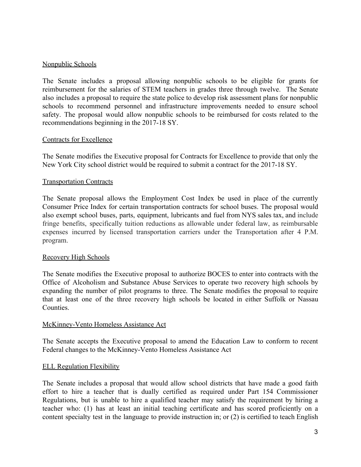#### Nonpublic Schools

The Senate includes a proposal allowing nonpublic schools to be eligible for grants for reimbursement for the salaries of STEM teachers in grades three through twelve. The Senate also includes a proposal to require the state police to develop risk assessment plans for nonpublic schools to recommend personnel and infrastructure improvements needed to ensure school safety. The proposal would allow nonpublic schools to be reimbursed for costs related to the recommendations beginning in the 2017-18 SY.

#### Contracts for Excellence

The Senate modifies the Executive proposal for Contracts for Excellence to provide that only the New York City school district would be required to submit a contract for the 2017-18 SY.

#### Transportation Contracts

The Senate proposal allows the Employment Cost Index be used in place of the currently Consumer Price Index for certain transportation contracts for school buses. The proposal would also exempt school buses, parts, equipment, lubricants and fuel from NYS sales tax, and include fringe benefits, specifically tuition reductions as allowable under federal law, as reimbursable expenses incurred by licensed transportation carriers under the Transportation after 4 P.M. program.

#### Recovery High Schools

The Senate modifies the Executive proposal to authorize BOCES to enter into contracts with the Office of Alcoholism and Substance Abuse Services to operate two recovery high schools by expanding the number of pilot programs to three. The Senate modifies the proposal to require that at least one of the three recovery high schools be located in either Suffolk or Nassau Counties.

#### McKinney-Vento Homeless Assistance Act

The Senate accepts the Executive proposal to amend the Education Law to conform to recent Federal changes to the McKinney-Vento Homeless Assistance Act

### ELL Regulation Flexibility

The Senate includes a proposal that would allow school districts that have made a good faith effort to hire a teacher that is dually certified as required under Part 154 Commissioner Regulations, but is unable to hire a qualified teacher may satisfy the requirement by hiring a teacher who: (1) has at least an initial teaching certificate and has scored proficiently on a content specialty test in the language to provide instruction in; or (2) is certified to teach English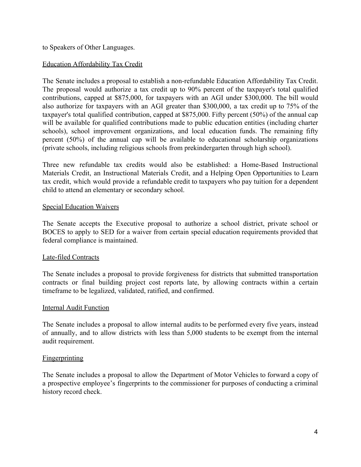to Speakers of Other Languages.

#### Education Affordability Tax Credit

The Senate includes a proposal to establish a non-refundable Education Affordability Tax Credit. The proposal would authorize a tax credit up to 90% percent of the taxpayer's total qualified contributions, capped at \$875,000, for taxpayers with an AGI under \$300,000. The bill would also authorize for taxpayers with an AGI greater than \$300,000, a tax credit up to 75% of the taxpayer's total qualified contribution, capped at \$875,000. Fifty percent (50%) of the annual cap will be available for qualified contributions made to public education entities (including charter schools), school improvement organizations, and local education funds. The remaining fifty percent (50%) of the annual cap will be available to educational scholarship organizations (private schools, including religious schools from prekindergarten through high school).

Three new refundable tax credits would also be established: a Home-Based Instructional Materials Credit, an Instructional Materials Credit, and a Helping Open Opportunities to Learn tax credit, which would provide a refundable credit to taxpayers who pay tuition for a dependent child to attend an elementary or secondary school.

#### Special Education Waivers

The Senate accepts the Executive proposal to authorize a school district, private school or BOCES to apply to SED for a waiver from certain special education requirements provided that federal compliance is maintained.

#### Late-filed Contracts

The Senate includes a proposal to provide forgiveness for districts that submitted transportation contracts or final building project cost reports late, by allowing contracts within a certain timeframe to be legalized, validated, ratified, and confirmed.

#### Internal Audit Function

The Senate includes a proposal to allow internal audits to be performed every five years, instead of annually, and to allow districts with less than 5,000 students to be exempt from the internal audit requirement.

#### **Fingerprinting**

The Senate includes a proposal to allow the Department of Motor Vehicles to forward a copy of a prospective employee's fingerprints to the commissioner for purposes of conducting a criminal history record check.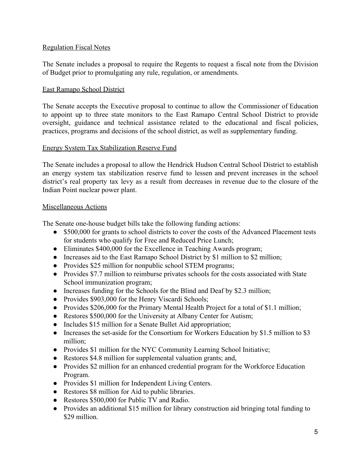#### Regulation Fiscal Notes

The Senate includes a proposal to require the Regents to request a fiscal note from the Division of Budget prior to promulgating any rule, regulation, or amendments.

#### East Ramapo School District

The Senate accepts the Executive proposal to continue to allow the Commissioner of Education to appoint up to three state monitors to the East Ramapo Central School District to provide oversight, guidance and technical assistance related to the educational and fiscal policies, practices, programs and decisions of the school district, as well as supplementary funding.

#### Energy System Tax Stabilization Reserve Fund

The Senate includes a proposal to allow the Hendrick Hudson Central School District to establish an energy system tax stabilization reserve fund to lessen and prevent increases in the school district's real property tax levy as a result from decreases in revenue due to the closure of the Indian Point nuclear power plant.

#### Miscellaneous Actions

The Senate one-house budget bills take the following funding actions:

- \$500,000 for grants to school districts to cover the costs of the Advanced Placement tests for students who qualify for Free and Reduced Price Lunch;
- Eliminates \$400,000 for the Excellence in Teaching Awards program;
- Increases aid to the East Ramapo School District by \$1 million to \$2 million;
- Provides \$25 million for nonpublic school STEM programs;
- Provides \$7.7 million to reimburse privates schools for the costs associated with State School immunization program;
- Increases funding for the Schools for the Blind and Deaf by \$2.3 million;
- Provides \$903,000 for the Henry Viscardi Schools;
- Provides \$206,000 for the Primary Mental Health Project for a total of \$1.1 million;
- Restores \$500,000 for the University at Albany Center for Autism;
- Includes \$15 million for a Senate Bullet Aid appropriation;
- Increases the set-aside for the Consortium for Workers Education by \$1.5 million to \$3 million;
- Provides \$1 million for the NYC Community Learning School Initiative;
- Restores \$4.8 million for supplemental valuation grants; and,
- Provides \$2 million for an enhanced credential program for the Workforce Education Program.
- Provides \$1 million for Independent Living Centers.
- Restores \$8 million for Aid to public libraries.
- Restores \$500,000 for Public TV and Radio.
- Provides an additional \$15 million for library construction aid bringing total funding to \$29 million.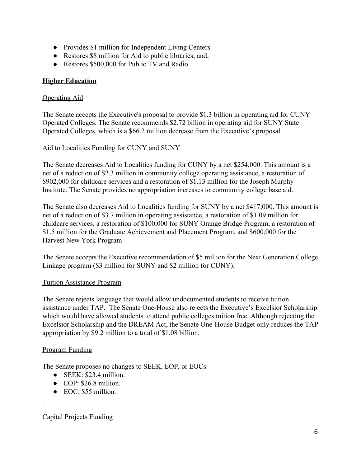- Provides \$1 million for Independent Living Centers.
- Restores \$8 million for Aid to public libraries; and,
- Restores \$500,000 for Public TV and Radio.

## **Higher Education**

#### Operating Aid

The Senate accepts the Executive's proposal to provide \$1.3 billion in operating aid for CUNY Operated Colleges. The Senate recommends \$2.72 billion in operating aid for SUNY State Operated Colleges, which is a \$66.2 million decrease from the Executive's proposal.

### Aid to Localities Funding for CUNY and SUNY

The Senate decreases Aid to Localities funding for CUNY by a net \$254,000. This amount is a net of a reduction of \$2.3 million in community college operating assistance, a restoration of \$902,000 for childcare services and a restoration of \$1.13 million for the Joseph Murphy Institute. The Senate provides no appropriation increases to community college base aid.

The Senate also decreases Aid to Localities funding for SUNY by a net \$417,000. This amount is net of a reduction of \$3.7 million in operating assistance, a restoration of \$1.09 million for childcare services, a restoration of \$100,000 for SUNY Orange Bridge Program, a restoration of \$1.5 million for the Graduate Achievement and Placement Program, and \$600,000 for the Harvest New York Program

The Senate accepts the Executive recommendation of \$5 million for the Next Generation College Linkage program (\$3 million for SUNY and \$2 million for CUNY).

### Tuition Assistance Program

The Senate rejects language that would allow undocumented students to receive tuition assistance under TAP. The Senate One-House also rejects the Executive's Excelsior Scholarship which would have allowed students to attend public colleges tuition free. Although rejecting the Excelsior Scholarship and the DREAM Act, the Senate One-House Budget only reduces the TAP appropriation by \$9.2 million to a total of \$1.08 billion.

### Program Funding

.

The Senate proposes no changes to SEEK, EOP, or EOCs.

- $\bullet$  SEEK: \$23.4 million.
- $\bullet$  EOP: \$26.8 million.
- EOC: \$55 million.

### Capital Projects Funding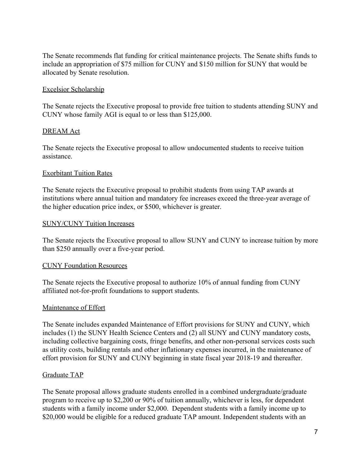The Senate recommends flat funding for critical maintenance projects. The Senate shifts funds to include an appropriation of \$75 million for CUNY and \$150 million for SUNY that would be allocated by Senate resolution.

#### Excelsior Scholarship

The Senate rejects the Executive proposal to provide free tuition to students attending SUNY and CUNY whose family AGI is equal to or less than \$125,000.

#### DREAM Act

The Senate rejects the Executive proposal to allow undocumented students to receive tuition assistance.

#### Exorbitant Tuition Rates

The Senate rejects the Executive proposal to prohibit students from using TAP awards at institutions where annual tuition and mandatory fee increases exceed the three-year average of the higher education price index, or \$500, whichever is greater.

#### SUNY/CUNY Tuition Increases

The Senate rejects the Executive proposal to allow SUNY and CUNY to increase tuition by more than \$250 annually over a five-year period.

#### CUNY Foundation Resources

The Senate rejects the Executive proposal to authorize 10% of annual funding from CUNY affiliated not-for-profit foundations to support students.

### Maintenance of Effort

The Senate includes expanded Maintenance of Effort provisions for SUNY and CUNY, which includes (1) the SUNY Health Science Centers and (2) all SUNY and CUNY mandatory costs, including collective bargaining costs, fringe benefits, and other non-personal services costs such as utility costs, building rentals and other inflationary expenses incurred, in the maintenance of effort provision for SUNY and CUNY beginning in state fiscal year 2018-19 and thereafter.

#### Graduate TAP

The Senate proposal allows graduate students enrolled in a combined undergraduate/graduate program to receive up to \$2,200 or 90% of tuition annually, whichever is less, for dependent students with a family income under \$2,000. Dependent students with a family income up to \$20,000 would be eligible for a reduced graduate TAP amount. Independent students with an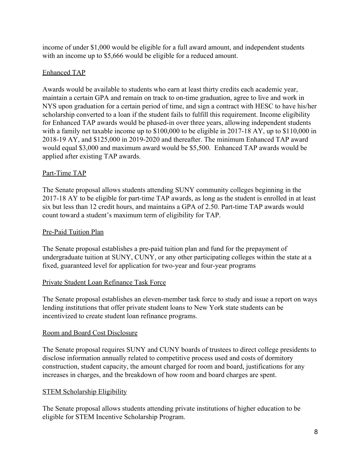income of under \$1,000 would be eligible for a full award amount, and independent students with an income up to \$5,666 would be eligible for a reduced amount.

## Enhanced TAP

Awards would be available to students who earn at least thirty credits each academic year, maintain a certain GPA and remain on track to on-time graduation, agree to live and work in NYS upon graduation for a certain period of time, and sign a contract with HESC to have his/her scholarship converted to a loan if the student fails to fulfill this requirement. Income eligibility for Enhanced TAP awards would be phased-in over three years, allowing independent students with a family net taxable income up to \$100,000 to be eligible in 2017-18 AY, up to \$110,000 in 2018-19 AY, and \$125,000 in 2019-2020 and thereafter. The minimum Enhanced TAP award would equal \$3,000 and maximum award would be \$5,500. Enhanced TAP awards would be applied after existing TAP awards.

## Part-Time TAP

The Senate proposal allows students attending SUNY community colleges beginning in the 2017-18 AY to be eligible for part-time TAP awards, as long as the student is enrolled in at least six but less than 12 credit hours, and maintains a GPA of 2.50. Part-time TAP awards would count toward a student's maximum term of eligibility for TAP.

### Pre-Paid Tuition Plan

The Senate proposal establishes a pre-paid tuition plan and fund for the prepayment of undergraduate tuition at SUNY, CUNY, or any other participating colleges within the state at a fixed, guaranteed level for application for two-year and four-year programs

### Private Student Loan Refinance Task Force

The Senate proposal establishes an eleven-member task force to study and issue a report on ways lending institutions that offer private student loans to New York state students can be incentivized to create student loan refinance programs.

### Room and Board Cost Disclosure

The Senate proposal requires SUNY and CUNY boards of trustees to direct college presidents to disclose information annually related to competitive process used and costs of dormitory construction, student capacity, the amount charged for room and board, justifications for any increases in charges, and the breakdown of how room and board charges are spent.

# STEM Scholarship Eligibility

The Senate proposal allows students attending private institutions of higher education to be eligible for STEM Incentive Scholarship Program.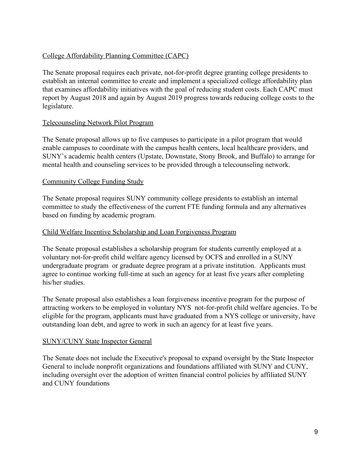## College Affordability Planning Committee (CAPC)

The Senate proposal requires each private, not-for-profit degree granting college presidents to establish an internal committee to create and implement a specialized college affordability plan that examines affordability initiatives with the goal of reducing student costs. Each CAPC must report by August 2018 and again by August 2019 progress towards reducing college costs to the legislature.

### Telecounseling Network Pilot Program

The Senate proposal allows up to five campuses to participate in a pilot program that would enable campuses to coordinate with the campus health centers, local healthcare providers, and SUNY's academic health centers (Upstate, Downstate, Stony Brook, and Buffalo) to arrange for mental health and counseling services to be provided through a telecounseling network.

### Community College Funding Study

The Senate proposal requires SUNY community college presidents to establish an internal committee to study the effectiveness of the current FTE funding formula and any alternatives based on funding by academic program.

### Child Welfare Incentive Scholarship and Loan Forgiveness Program

The Senate proposal establishes a scholarship program for students currently employed at a voluntary not-for-profit child welfare agency licensed by OCFS and enrolled in a SUNY undergraduate program or graduate degree program at a private institution. Applicants must agree to continue working full-time at such an agency for at least five years after completing his/her studies.

The Senate proposal also establishes a loan forgiveness incentive program for the purpose of attracting workers to be employed in voluntary NYS not-for-profit child welfare agencies. To be eligible for the program, applicants must have graduated from a NYS college or university, have outstanding loan debt, and agree to work in such an agency for at least five years.

### SUNY/CUNY State Inspector General

The Senate does not include the Executive's proposal to expand oversight by the State Inspector General to include nonprofit organizations and foundations affiliated with SUNY and CUNY, including oversight over the adoption of written financial control policies by affiliated SUNY and CUNY foundations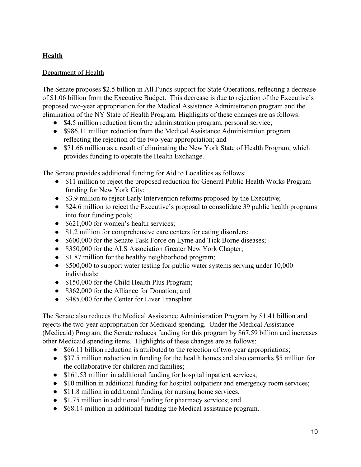# **Health**

## Department of Health

The Senate proposes \$2.5 billion in All Funds support for State Operations, reflecting a decrease of \$1.06 billion from the Executive Budget. This decrease is due to rejection of the Executive's proposed two-year appropriation for the Medical Assistance Administration program and the elimination of the NY State of Health Program. Highlights of these changes are as follows:

- \$4.5 million reduction from the administration program, personal service;
- \$986.11 million reduction from the Medical Assistance Administration program reflecting the rejection of the two-year appropriation; and
- \$71.66 million as a result of eliminating the New York State of Health Program, which provides funding to operate the Health Exchange.

The Senate provides additional funding for Aid to Localities as follows:

- \$11 million to reject the proposed reduction for General Public Health Works Program funding for New York City;
- \$3.9 million to reject Early Intervention reforms proposed by the Executive;
- \$24.6 million to reject the Executive's proposal to consolidate 39 public health programs into four funding pools;
- \$621,000 for women's health services;
- \$1.2 million for comprehensive care centers for eating disorders;
- \$600,000 for the Senate Task Force on Lyme and Tick Borne diseases;
- \$350,000 for the ALS Association Greater New York Chapter;
- \$1.87 million for the healthy neighborhood program;
- \$500,000 to support water testing for public water systems serving under 10,000 individuals;
- \$150,000 for the Child Health Plus Program;
- \$362,000 for the Alliance for Donation; and
- \$485,000 for the Center for Liver Transplant.

The Senate also reduces the Medical Assistance Administration Program by \$1.41 billion and rejects the two-year appropriation for Medicaid spending. Under the Medical Assistance (Medicaid) Program, the Senate reduces funding for this program by \$67.59 billion and increases other Medicaid spending items. Highlights of these changes are as follows:

- \$66.11 billion reduction is attributed to the rejection of two-year appropriations;
- \$37.5 million reduction in funding for the health homes and also earmarks \$5 million for the collaborative for children and families;
- \$161.53 million in additional funding for hospital inpatient services;
- \$10 million in additional funding for hospital outpatient and emergency room services;
- \$11.8 million in additional funding for nursing home services;
- \$1.75 million in additional funding for pharmacy services; and
- \$68.14 million in additional funding the Medical assistance program.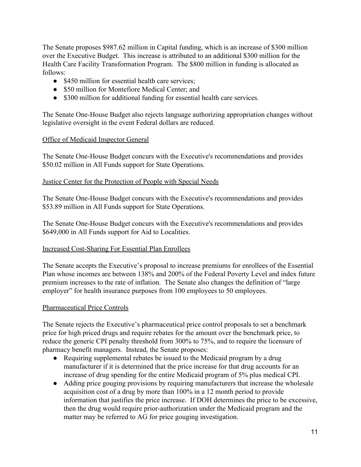The Senate proposes \$987.62 million in Capital funding, which is an increase of \$300 million over the Executive Budget. This increase is attributed to an additional \$300 million for the Health Care Facility Transformation Program. The \$800 million in funding is allocated as follows:

- \$450 million for essential health care services;
- \$50 million for Montefiore Medical Center; and
- \$300 million for additional funding for essential health care services.

The Senate One-House Budget also rejects language authorizing appropriation changes without legislative oversight in the event Federal dollars are reduced.

## Office of Medicaid Inspector General

The Senate One-House Budget concurs with the Executive's recommendations and provides \$50.02 million in All Funds support for State Operations.

## Justice Center for the Protection of People with Special Needs

The Senate One-House Budget concurs with the Executive's recommendations and provides \$53.89 million in All Funds support for State Operations.

The Senate One-House Budget concurs with the Executive's recommendations and provides \$649,000 in All Funds support for Aid to Localities.

# Increased Cost-Sharing For Essential Plan Enrollees

The Senate accepts the Executive's proposal to increase premiums for enrollees of the Essential Plan whose incomes are between 138% and 200% of the Federal Poverty Level and index future premium increases to the rate of inflation. The Senate also changes the definition of "large employer" for health insurance purposes from 100 employees to 50 employees.

# Pharmaceutical Price Controls

The Senate rejects the Executive's pharmaceutical price control proposals to set a benchmark price for high priced drugs and require rebates for the amount over the benchmark price, to reduce the generic CPI penalty threshold from 300% to 75%, and to require the licensure of pharmacy benefit managers. Instead, the Senate proposes:

- Requiring supplemental rebates be issued to the Medicaid program by a drug manufacturer if it is determined that the price increase for that drug accounts for an increase of drug spending for the entire Medicaid program of 5% plus medical CPI.
- Adding price gouging provisions by requiring manufacturers that increase the wholesale acquisition cost of a drug by more than 100% in a 12 month period to provide information that justifies the price increase. If DOH determines the price to be excessive, then the drug would require prior-authorization under the Medicaid program and the matter may be referred to AG for price gouging investigation.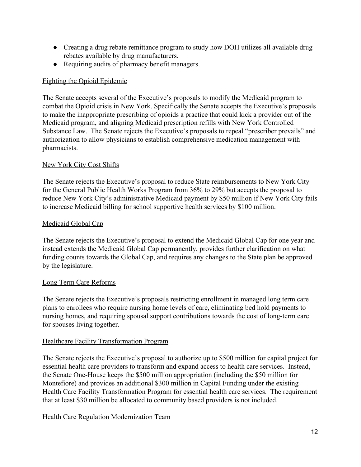- Creating a drug rebate remittance program to study how DOH utilizes all available drug rebates available by drug manufacturers.
- Requiring audits of pharmacy benefit managers.

## Fighting the Opioid Epidemic

The Senate accepts several of the Executive's proposals to modify the Medicaid program to combat the Opioid crisis in New York. Specifically the Senate accepts the Executive's proposals to make the inappropriate prescribing of opioids a practice that could kick a provider out of the Medicaid program, and aligning Medicaid prescription refills with New York Controlled Substance Law. The Senate rejects the Executive's proposals to repeal "prescriber prevails" and authorization to allow physicians to establish comprehensive medication management with pharmacists.

## New York City Cost Shifts

The Senate rejects the Executive's proposal to reduce State reimbursements to New York City for the General Public Health Works Program from 36% to 29% but accepts the proposal to reduce New York City's administrative Medicaid payment by \$50 million if New York City fails to increase Medicaid billing for school supportive health services by \$100 million.

## Medicaid Global Cap

The Senate rejects the Executive's proposal to extend the Medicaid Global Cap for one year and instead extends the Medicaid Global Cap permanently, provides further clarification on what funding counts towards the Global Cap, and requires any changes to the State plan be approved by the legislature.

### Long Term Care Reforms

The Senate rejects the Executive's proposals restricting enrollment in managed long term care plans to enrollees who require nursing home levels of care, eliminating bed hold payments to nursing homes, and requiring spousal support contributions towards the cost of long-term care for spouses living together.

### Healthcare Facility Transformation Program

The Senate rejects the Executive's proposal to authorize up to \$500 million for capital project for essential health care providers to transform and expand access to health care services. Instead, the Senate One-House keeps the \$500 million appropriation (including the \$50 million for Montefiore) and provides an additional \$300 million in Capital Funding under the existing Health Care Facility Transformation Program for essential health care services. The requirement that at least \$30 million be allocated to community based providers is not included.

# Health Care Regulation Modernization Team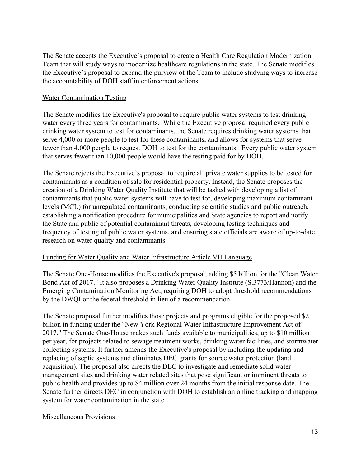The Senate accepts the Executive's proposal to create a Health Care Regulation Modernization Team that will study ways to modernize healthcare regulations in the state. The Senate modifies the Executive's proposal to expand the purview of the Team to include studying ways to increase the accountability of DOH staff in enforcement actions.

#### Water Contamination Testing

The Senate modifies the Executive's proposal to require public water systems to test drinking water every three years for contaminants. While the Executive proposal required every public drinking water system to test for contaminants, the Senate requires drinking water systems that serve 4,000 or more people to test for these contaminants, and allows for systems that serve fewer than 4,000 people to request DOH to test for the contaminants. Every public water system that serves fewer than 10,000 people would have the testing paid for by DOH.

The Senate rejects the Executive's proposal to require all private water supplies to be tested for contaminants as a condition of sale for residential property. Instead, the Senate proposes the creation of a Drinking Water Quality Institute that will be tasked with developing a list of contaminants that public water systems will have to test for, developing maximum contaminant levels (MCL) for unregulated contaminants, conducting scientific studies and public outreach, establishing a notification procedure for municipalities and State agencies to report and notify the State and public of potential contaminant threats, developing testing techniques and frequency of testing of public water systems, and ensuring state officials are aware of up-to-date research on water quality and contaminants.

#### Funding for Water Quality and Water Infrastructure Article VII Language

The Senate One-House modifies the Executive's proposal, adding \$5 billion for the "Clean Water Bond Act of 2017." It also proposes a Drinking Water Quality Institute (S.3773/Hannon) and the Emerging Contamination Monitoring Act, requiring DOH to adopt threshold recommendations by the DWQI or the federal threshold in lieu of a recommendation.

The Senate proposal further modifies those projects and programs eligible for the proposed \$2 billion in funding under the "New York Regional Water Infrastructure Improvement Act of 2017." The Senate One-House makes such funds available to municipalities, up to \$10 million per year, for projects related to sewage treatment works, drinking water facilities, and stormwater collecting systems. It further amends the Executive's proposal by including the updating and replacing of septic systems and eliminates DEC grants for source water protection (land acquisition). The proposal also directs the DEC to investigate and remediate solid water management sites and drinking water related sites that pose significant or imminent threats to public health and provides up to \$4 million over 24 months from the initial response date. The Senate further directs DEC in conjunction with DOH to establish an online tracking and mapping system for water contamination in the state.

### Miscellaneous Provisions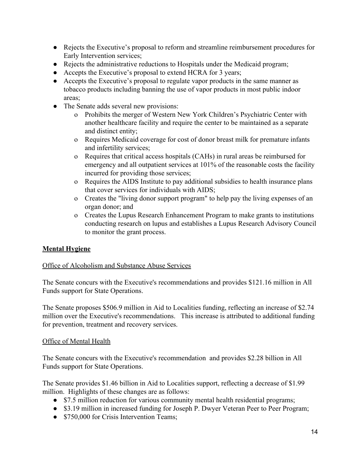- Rejects the Executive's proposal to reform and streamline reimbursement procedures for Early Intervention services;
- Rejects the administrative reductions to Hospitals under the Medicaid program;
- Accepts the Executive's proposal to extend HCRA for 3 years;
- Accepts the Executive's proposal to regulate vapor products in the same manner as tobacco products including banning the use of vapor products in most public indoor areas;
- The Senate adds several new provisions:
	- o Prohibits the merger of Western New York Children's Psychiatric Center with another healthcare facility and require the center to be maintained as a separate and distinct entity;
	- o Requires Medicaid coverage for cost of donor breast milk for premature infants and infertility services;
	- o Requires that critical access hospitals (CAHs) in rural areas be reimbursed for emergency and all outpatient services at 101% of the reasonable costs the facility incurred for providing those services;
	- o Requires the AIDS Institute to pay additional subsidies to health insurance plans that cover services for individuals with AIDS;
	- o Creates the "living donor support program" to help pay the living expenses of an organ donor; and
	- o Creates the Lupus Research Enhancement Program to make grants to institutions conducting research on lupus and establishes a Lupus Research Advisory Council to monitor the grant process.

### **Mental Hygiene**

### Office of Alcoholism and Substance Abuse Services

The Senate concurs with the Executive's recommendations and provides \$121.16 million in All Funds support for State Operations.

The Senate proposes \$506.9 million in Aid to Localities funding, reflecting an increase of \$2.74 million over the Executive's recommendations. This increase is attributed to additional funding for prevention, treatment and recovery services.

#### Office of Mental Health

The Senate concurs with the Executive's recommendation and provides \$2.28 billion in All Funds support for State Operations.

The Senate provides \$1.46 billion in Aid to Localities support, reflecting a decrease of \$1.99 million. Highlights of these changes are as follows:

- \$7.5 million reduction for various community mental health residential programs;
- \$3.19 million in increased funding for Joseph P. Dwyer Veteran Peer to Peer Program;
- \$750,000 for Crisis Intervention Teams;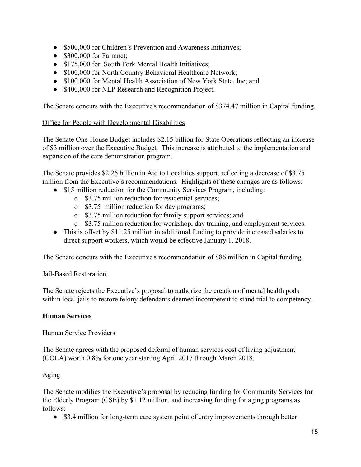- \$500,000 for Children's Prevention and Awareness Initiatives;
- $\bullet$  \$300,000 for Farmnet:
- \$175,000 for South Fork Mental Health Initiatives;
- \$100,000 for North Country Behavioral Healthcare Network;
- \$100,000 for Mental Health Association of New York State, Inc; and
- \$400,000 for NLP Research and Recognition Project.

The Senate concurs with the Executive's recommendation of \$374.47 million in Capital funding.

## Office for People with Developmental Disabilities

The Senate One-House Budget includes \$2.15 billion for State Operations reflecting an increase of \$3 million over the Executive Budget. This increase is attributed to the implementation and expansion of the care demonstration program.

The Senate provides \$2.26 billion in Aid to Localities support, reflecting a decrease of \$3.75 million from the Executive's recommendations. Highlights of these changes are as follows:

- \$15 million reduction for the Community Services Program, including:
	- o \$3.75 million reduction for residential services;
	- o \$3.75 million reduction for day programs;
	- o \$3.75 million reduction for family support services; and
	- o \$3.75 million reduction for workshop, day training, and employment services.
- This is offset by \$11.25 million in additional funding to provide increased salaries to direct support workers, which would be effective January 1, 2018.

The Senate concurs with the Executive's recommendation of \$86 million in Capital funding.

### Jail-Based Restoration

The Senate rejects the Executive's proposal to authorize the creation of mental health pods within local jails to restore felony defendants deemed incompetent to stand trial to competency.

### **Human Services**

### Human Service Providers

The Senate agrees with the proposed deferral of human services cost of living adjustment (COLA) worth 0.8% for one year starting April 2017 through March 2018.

### Aging

The Senate modifies the Executive's proposal by reducing funding for Community Services for the Elderly Program (CSE) by \$1.12 million, and increasing funding for aging programs as follows:

• \$3.4 million for long-term care system point of entry improvements through better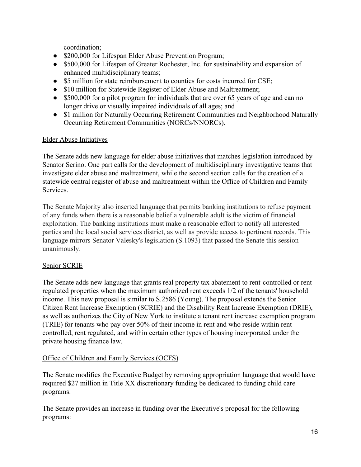coordination;

- \$200,000 for Lifespan Elder Abuse Prevention Program;
- \$500,000 for Lifespan of Greater Rochester, Inc. for sustainability and expansion of enhanced multidisciplinary teams;
- \$5 million for state reimbursement to counties for costs incurred for CSE;
- \$10 million for Statewide Register of Elder Abuse and Maltreatment;
- \$500,000 for a pilot program for individuals that are over 65 years of age and can no longer drive or visually impaired individuals of all ages; and
- \$1 million for Naturally Occurring Retirement Communities and Neighborhood Naturally Occurring Retirement Communities (NORCs/NNORCs).

### Elder Abuse Initiatives

The Senate adds new language for elder abuse initiatives that matches legislation introduced by Senator Serino. One part calls for the development of multidisciplinary investigative teams that investigate elder abuse and maltreatment, while the second section calls for the creation of a statewide central register of abuse and maltreatment within the Office of Children and Family **Services** 

The Senate Majority also inserted language that permits banking institutions to refuse payment of any funds when there is a reasonable belief a vulnerable adult is the victim of financial exploitation. The banking institutions must make a reasonable effort to notify all interested parties and the local social services district, as well as provide access to pertinent records. This language mirrors Senator Valesky's legislation (S.1093) that passed the Senate this session unanimously.

### Senior SCRIE

The Senate adds new language that grants real property tax abatement to rent-controlled or rent regulated properties when the maximum authorized rent exceeds 1/2 of the tenants' household income. This new proposal is similar to S.2586 (Young). The proposal extends the Senior Citizen Rent Increase Exemption (SCRIE) and the Disability Rent Increase Exemption (DRIE), as well as authorizes the City of New York to institute a tenant rent increase exemption program (TRIE) for tenants who pay over 50% of their income in rent and who reside within rent controlled, rent regulated, and within certain other types of housing incorporated under the private housing finance law.

### Office of Children and Family Services (OCFS)

The Senate modifies the Executive Budget by removing appropriation language that would have required \$27 million in Title XX discretionary funding be dedicated to funding child care programs.

The Senate provides an increase in funding over the Executive's proposal for the following programs: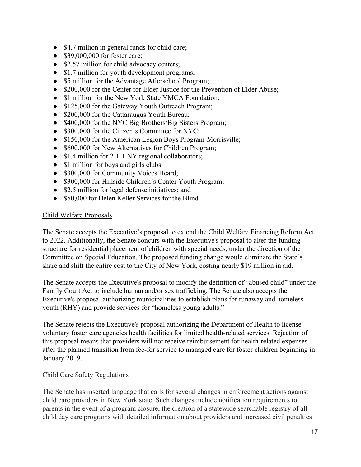- \$4.7 million in general funds for child care;
- \$39,000,000 for foster care;
- \$2.57 million for child advocacy centers;
- \$1.7 million for youth development programs;
- \$5 million for the Advantage Afterschool Program;
- \$200,000 for the Center for Elder Justice for the Prevention of Elder Abuse;
- \$1 million for the New York State YMCA Foundation;
- \$125,000 for the Gateway Youth Outreach Program;
- \$200,000 for the Cattaraugus Youth Bureau;
- \$400,000 for the NYC Big Brothers/Big Sisters Program;
- \$300,000 for the Citizen's Committee for NYC;
- \$150,000 for the American Legion Boys Program-Morrisville;
- \$600,000 for New Alternatives for Children Program;
- \$1.4 million for 2-1-1 NY regional collaborators;
- \$1 million for boys and girls clubs;
- \$300,000 for Community Voices Heard;
- \$300,000 for Hillside Children's Center Youth Program;
- \$2.5 million for legal defense initiatives; and
- \$50,000 for Helen Keller Services for the Blind.

### Child Welfare Proposals

The Senate accepts the Executive's proposal to extend the Child Welfare Financing Reform Act to 2022. Additionally, the Senate concurs with the Executive's proposal to alter the funding structure for residential placement of children with special needs, under the direction of the Committee on Special Education. The proposed funding change would eliminate the State's share and shift the entire cost to the City of New York, costing nearly \$19 million in aid.

The Senate accepts the Executive's proposal to modify the definition of "abused child" under the Family Court Act to include human and/or sex trafficking. The Senate also accepts the Executive's proposal authorizing municipalities to establish plans for runaway and homeless youth (RHY) and provide services for "homeless young adults."

The Senate rejects the Executive's proposal authorizing the Department of Health to license voluntary foster care agencies health facilities for limited health-related services. Rejection of this proposal means that providers will not receive reimbursement for health-related expenses after the planned transition from fee-for service to managed care for foster children beginning in January 2019.

### Child Care Safety Regulations

The Senate has inserted language that calls for several changes in enforcement actions against child care providers in New York state. Such changes include notification requirements to parents in the event of a program closure, the creation of a statewide searchable registry of all child day care programs with detailed information about providers and increased civil penalties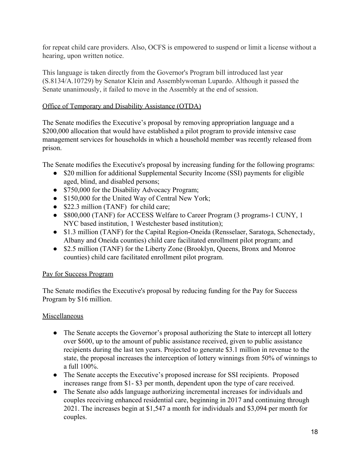for repeat child care providers. Also, OCFS is empowered to suspend or limit a license without a hearing, upon written notice.

This language is taken directly from the Governor's Program bill introduced last year (S.8134/A.10729) by Senator Klein and Assemblywoman Lupardo. Although it passed the Senate unanimously, it failed to move in the Assembly at the end of session.

# Office of Temporary and Disability Assistance (OTDA)

The Senate modifies the Executive's proposal by removing appropriation language and a \$200,000 allocation that would have established a pilot program to provide intensive case management services for households in which a household member was recently released from prison.

The Senate modifies the Executive's proposal by increasing funding for the following programs:

- \$20 million for additional Supplemental Security Income (SSI) payments for eligible aged, blind, and disabled persons;
- \$750,000 for the Disability Advocacy Program;
- \$150,000 for the United Way of Central New York;
- \$22.3 million (TANF) for child care;
- \$800,000 (TANF) for ACCESS Welfare to Career Program (3 programs-1 CUNY, 1 NYC based institution, 1 Westchester based institution);
- \$1.3 million (TANF) for the Capital Region-Oneida (Rensselaer, Saratoga, Schenectady, Albany and Oneida counties) child care facilitated enrollment pilot program; and
- \$2.5 million (TANF) for the Liberty Zone (Brooklyn, Queens, Bronx and Monroe counties) child care facilitated enrollment pilot program.

# Pay for Success Program

The Senate modifies the Executive's proposal by reducing funding for the Pay for Success Program by \$16 million.

# **Miscellaneous**

- The Senate accepts the Governor's proposal authorizing the State to intercept all lottery over \$600, up to the amount of public assistance received, given to public assistance recipients during the last ten years. Projected to generate \$3.1 million in revenue to the state, the proposal increases the interception of lottery winnings from 50% of winnings to a full 100%.
- The Senate accepts the Executive's proposed increase for SSI recipients. Proposed increases range from \$1- \$3 per month, dependent upon the type of care received.
- The Senate also adds language authorizing incremental increases for individuals and couples receiving enhanced residential care, beginning in 2017 and continuing through 2021. The increases begin at \$1,547 a month for individuals and \$3,094 per month for couples.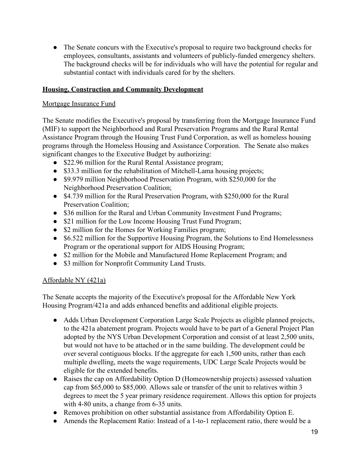• The Senate concurs with the Executive's proposal to require two background checks for employees, consultants, assistants and volunteers of publicly-funded emergency shelters. The background checks will be for individuals who will have the potential for regular and substantial contact with individuals cared for by the shelters.

## **Housing, Construction and Community Development**

## Mortgage Insurance Fund

The Senate modifies the Executive's proposal by transferring from the Mortgage Insurance Fund (MIF) to support the Neighborhood and Rural Preservation Programs and the Rural Rental Assistance Program through the Housing Trust Fund Corporation, as well as homeless housing programs through the Homeless Housing and Assistance Corporation. The Senate also makes significant changes to the Executive Budget by authorizing:

- \$22.96 million for the Rural Rental Assistance program;
- \$33.3 million for the rehabilitation of Mitchell-Lama housing projects;
- \$9.979 million Neighborhood Preservation Program, with \$250,000 for the Neighborhood Preservation Coalition;
- \$4.739 million for the Rural Preservation Program, with \$250,000 for the Rural Preservation Coalition;
- \$36 million for the Rural and Urban Community Investment Fund Programs;
- \$21 million for the Low Income Housing Trust Fund Program;
- \$2 million for the Homes for Working Families program;
- \$6.522 million for the Supportive Housing Program, the Solutions to End Homelessness Program or the operational support for AIDS Housing Program;
- \$2 million for the Mobile and Manufactured Home Replacement Program; and
- \$3 million for Nonprofit Community Land Trusts.

### Affordable NY (421a)

The Senate accepts the majority of the Executive's proposal for the Affordable New York Housing Program/421a and adds enhanced benefits and additional eligible projects.

- Adds Urban Development Corporation Large Scale Projects as eligible planned projects, to the 421a abatement program. Projects would have to be part of a General Project Plan adopted by the NYS Urban Development Corporation and consist of at least 2,500 units, but would not have to be attached or in the same building. The development could be over several contiguous blocks. If the aggregate for each 1,500 units, rather than each multiple dwelling, meets the wage requirements, UDC Large Scale Projects would be eligible for the extended benefits.
- Raises the cap on Affordability Option D (Homeownership projects) assessed valuation cap from \$65,000 to \$85,000. Allows sale or transfer of the unit to relatives within 3 degrees to meet the 5 year primary residence requirement. Allows this option for projects with 4-80 units, a change from 6-35 units.
- Removes prohibition on other substantial assistance from Affordability Option E.
- Amends the Replacement Ratio: Instead of a 1-to-1 replacement ratio, there would be a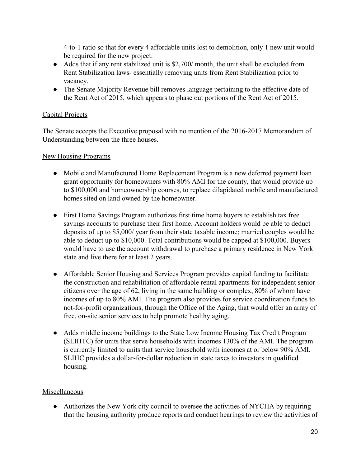4-to-1 ratio so that for every 4 affordable units lost to demolition, only 1 new unit would be required for the new project.

- Adds that if any rent stabilized unit is \$2,700/ month, the unit shall be excluded from Rent Stabilization laws- essentially removing units from Rent Stabilization prior to vacancy.
- The Senate Majority Revenue bill removes language pertaining to the effective date of the Rent Act of 2015, which appears to phase out portions of the Rent Act of 2015.

## Capital Projects

The Senate accepts the Executive proposal with no mention of the 2016-2017 Memorandum of Understanding between the three houses.

### New Housing Programs

- Mobile and Manufactured Home Replacement Program is a new deferred payment loan grant opportunity for homeowners with 80% AMI for the county, that would provide up to \$100,000 and homeownership courses, to replace dilapidated mobile and manufactured homes sited on land owned by the homeowner.
- First Home Savings Program authorizes first time home buyers to establish tax free savings accounts to purchase their first home. Account holders would be able to deduct deposits of up to \$5,000/ year from their state taxable income; married couples would be able to deduct up to \$10,000. Total contributions would be capped at \$100,000. Buyers would have to use the account withdrawal to purchase a primary residence in New York state and live there for at least 2 years.
- Affordable Senior Housing and Services Program provides capital funding to facilitate the construction and rehabilitation of affordable rental apartments for independent senior citizens over the age of 62, living in the same building or complex, 80% of whom have incomes of up to 80% AMI. The program also provides for service coordination funds to not-for-profit organizations, through the Office of the Aging, that would offer an array of free, on-site senior services to help promote healthy aging.
- Adds middle income buildings to the State Low Income Housing Tax Credit Program (SLIHTC) for units that serve households with incomes 130% of the AMI. The program is currently limited to units that service household with incomes at or below 90% AMI. SLIHC provides a dollar-for-dollar reduction in state taxes to investors in qualified housing.

### Miscellaneous

• Authorizes the New York city council to oversee the activities of NYCHA by requiring that the housing authority produce reports and conduct hearings to review the activities of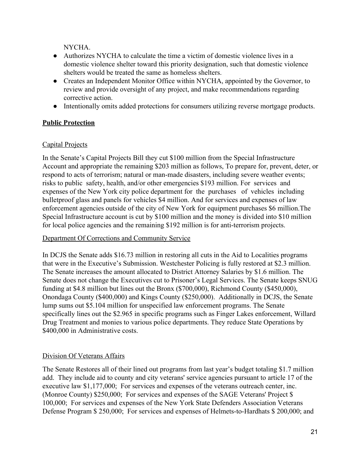NYCHA.

- Authorizes NYCHA to calculate the time a victim of domestic violence lives in a domestic violence shelter toward this priority designation, such that domestic violence shelters would be treated the same as homeless shelters.
- Creates an Independent Monitor Office within NYCHA, appointed by the Governor, to review and provide oversight of any project, and make recommendations regarding corrective action.
- Intentionally omits added protections for consumers utilizing reverse mortgage products.

# **Public Protection**

## Capital Projects

In the Senate's Capital Projects Bill they cut \$100 million from the Special Infrastructure Account and appropriate the remaining \$203 million as follows, To prepare for, prevent, deter, or respond to acts of terrorism; natural or man-made disasters, including severe weather events; risks to public safety, health, and/or other emergencies \$193 million. For services and expenses of the New York city police department for the purchases of vehicles including bulletproof glass and panels for vehicles \$4 million. And for services and expenses of law enforcement agencies outside of the city of New York for equipment purchases \$6 million.The Special Infrastructure account is cut by \$100 million and the money is divided into \$10 million for local police agencies and the remaining \$192 million is for anti-terrorism projects.

### Department Of Corrections and Community Service

In DCJS the Senate adds \$16.73 million in restoring all cuts in the Aid to Localities programs that were in the Executive's Submission. Westchester Policing is fully restored at \$2.3 million. The Senate increases the amount allocated to District Attorney Salaries by \$1.6 million. The Senate does not change the Executives cut to Prisoner's Legal Services. The Senate keeps SNUG funding at \$4.8 million but lines out the Bronx (\$700,000), Richmond County (\$450,000), Onondaga County (\$400,000) and Kings County (\$250,000). Additionally in DCJS, the Senate lump sums out \$5.104 million for unspecified law enforcement programs. The Senate specifically lines out the \$2.965 in specific programs such as Finger Lakes enforcement, Willard Drug Treatment and monies to various police departments. They reduce State Operations by \$400,000 in Administrative costs.

### Division Of Veterans Affairs

The Senate Restores all of their lined out programs from last year's budget totaling \$1.7 million add. They include aid to county and city veterans' service agencies pursuant to article 17 of the executive law \$1,177,000; For services and expenses of the veterans outreach center, inc. (Monroe County) \$250,000; For services and expenses of the SAGE Veterans' Project \$ 100,000; For services and expenses of the New York State Defenders Association Veterans Defense Program \$ 250,000; For services and expenses of Helmets-to-Hardhats \$ 200,000; and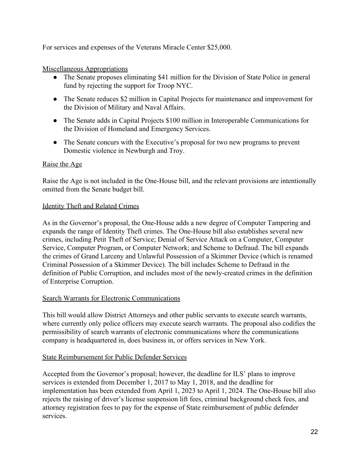For services and expenses of the Veterans Miracle Center \$25,000.

## Miscellaneous Appropriations

- The Senate proposes eliminating \$41 million for the Division of State Police in general fund by rejecting the support for Troop NYC.
- The Senate reduces \$2 million in Capital Projects for maintenance and improvement for the Division of Military and Naval Affairs.
- The Senate adds in Capital Projects \$100 million in Interoperable Communications for the Division of Homeland and Emergency Services.
- The Senate concurs with the Executive's proposal for two new programs to prevent Domestic violence in Newburgh and Troy.

## Raise the Age

Raise the Age is not included in the One-House bill, and the relevant provisions are intentionally omitted from the Senate budget bill.

## Identity Theft and Related Crimes

As in the Governor's proposal, the One-House adds a new degree of Computer Tampering and expands the range of Identity Theft crimes. The One-House bill also establishes several new crimes, including Petit Theft of Service; Denial of Service Attack on a Computer, Computer Service, Computer Program, or Computer Network; and Scheme to Defraud. The bill expands the crimes of Grand Larceny and Unlawful Possession of a Skimmer Device (which is renamed Criminal Possession of a Skimmer Device). The bill includes Scheme to Defraud in the definition of Public Corruption, and includes most of the newly-created crimes in the definition of Enterprise Corruption.

### Search Warrants for Electronic Communications

This bill would allow District Attorneys and other public servants to execute search warrants, where currently only police officers may execute search warrants. The proposal also codifies the permissibility of search warrants of electronic communications where the communications company is headquartered in, does business in, or offers services in New York.

### State Reimbursement for Public Defender Services

Accepted from the Governor's proposal; however, the deadline for ILS' plans to improve services is extended from December 1, 2017 to May 1, 2018, and the deadline for implementation has been extended from April 1, 2023 to April 1, 2024. The One-House bill also rejects the raising of driver's license suspension lift fees, criminal background check fees, and attorney registration fees to pay for the expense of State reimbursement of public defender services.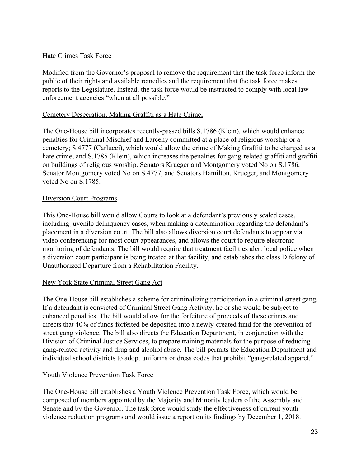### Hate Crimes Task Force

Modified from the Governor's proposal to remove the requirement that the task force inform the public of their rights and available remedies and the requirement that the task force makes reports to the Legislature. Instead, the task force would be instructed to comply with local law enforcement agencies "when at all possible."

#### Cemetery Desecration, Making Graffiti as a Hate Crime,

The One-House bill incorporates recently-passed bills S.1786 (Klein), which would enhance penalties for Criminal Mischief and Larceny committed at a place of religious worship or a cemetery; S.4777 (Carlucci), which would allow the crime of Making Graffiti to be charged as a hate crime; and S.1785 (Klein), which increases the penalties for gang-related graffiti and graffiti on buildings of religious worship. Senators Krueger and Montgomery voted No on S.1786, Senator Montgomery voted No on S.4777, and Senators Hamilton, Krueger, and Montgomery voted No on S.1785.

#### Diversion Court Programs

This One-House bill would allow Courts to look at a defendant's previously sealed cases, including juvenile delinquency cases, when making a determination regarding the defendant's placement in a diversion court. The bill also allows diversion court defendants to appear via video conferencing for most court appearances, and allows the court to require electronic monitoring of defendants. The bill would require that treatment facilities alert local police when a diversion court participant is being treated at that facility, and establishes the class D felony of Unauthorized Departure from a Rehabilitation Facility.

#### New York State Criminal Street Gang Act

The One-House bill establishes a scheme for criminalizing participation in a criminal street gang. If a defendant is convicted of Criminal Street Gang Activity, he or she would be subject to enhanced penalties. The bill would allow for the forfeiture of proceeds of these crimes and directs that 40% of funds forfeited be deposited into a newly-created fund for the prevention of street gang violence. The bill also directs the Education Department, in conjunction with the Division of Criminal Justice Services, to prepare training materials for the purpose of reducing gang-related activity and drug and alcohol abuse. The bill permits the Education Department and individual school districts to adopt uniforms or dress codes that prohibit "gang-related apparel."

### Youth Violence Prevention Task Force

The One-House bill establishes a Youth Violence Prevention Task Force, which would be composed of members appointed by the Majority and Minority leaders of the Assembly and Senate and by the Governor. The task force would study the effectiveness of current youth violence reduction programs and would issue a report on its findings by December 1, 2018.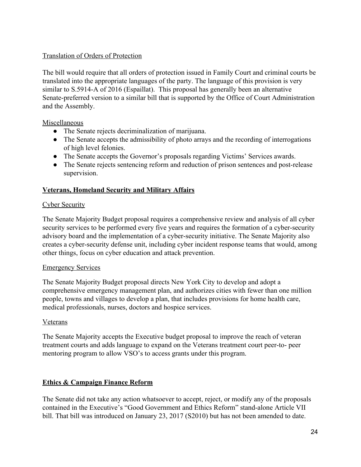## Translation of Orders of Protection

The bill would require that all orders of protection issued in Family Court and criminal courts be translated into the appropriate languages of the party. The language of this provision is very similar to S.5914-A of 2016 (Espaillat). This proposal has generally been an alternative Senate-preferred version to a similar bill that is supported by the Office of Court Administration and the Assembly.

Miscellaneous

- The Senate rejects decriminalization of marijuana.
- The Senate accepts the admissibility of photo arrays and the recording of interrogations of high level felonies.
- The Senate accepts the Governor's proposals regarding Victims' Services awards.
- The Senate rejects sentencing reform and reduction of prison sentences and post-release supervision.

# **Veterans, Homeland Security and Military Affairs**

### Cyber Security

The Senate Majority Budget proposal requires a comprehensive review and analysis of all cyber security services to be performed every five years and requires the formation of a cyber-security advisory board and the implementation of a cyber-security initiative. The Senate Majority also creates a cyber-security defense unit, including cyber incident response teams that would, among other things, focus on cyber education and attack prevention.

### Emergency Services

The Senate Majority Budget proposal directs New York City to develop and adopt a comprehensive emergency management plan, and authorizes cities with fewer than one million people, towns and villages to develop a plan, that includes provisions for home health care, medical professionals, nurses, doctors and hospice services.

# Veterans

The Senate Majority accepts the Executive budget proposal to improve the reach of veteran treatment courts and adds language to expand on the Veterans treatment court peer-to- peer mentoring program to allow VSO's to access grants under this program.

# **Ethics & Campaign Finance Reform**

The Senate did not take any action whatsoever to accept, reject, or modify any of the proposals contained in the Executive's "Good Government and Ethics Reform" stand-alone Article VII bill. That bill was introduced on January 23, 2017 (S2010) but has not been amended to date.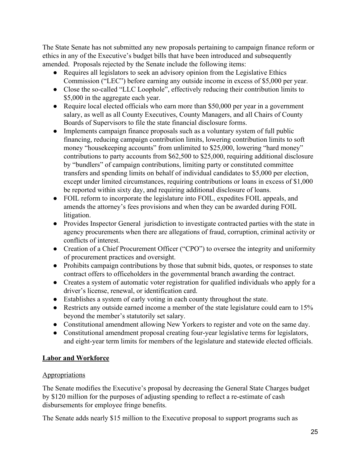The State Senate has not submitted any new proposals pertaining to campaign finance reform or ethics in any of the Executive's budget bills that have been introduced and subsequently amended. Proposals rejected by the Senate include the following items:

- Requires all legislators to seek an advisory opinion from the Legislative Ethics Commission ("LEC") before earning any outside income in excess of \$5,000 per year.
- Close the so-called "LLC Loophole", effectively reducing their contribution limits to \$5,000 in the aggregate each year.
- Require local elected officials who earn more than \$50,000 per year in a government salary, as well as all County Executives, County Managers, and all Chairs of County Boards of Supervisors to file the state financial disclosure forms.
- Implements campaign finance proposals such as a voluntary system of full public financing, reducing campaign contribution limits, lowering contribution limits to soft money "housekeeping accounts" from unlimited to \$25,000, lowering "hard money" contributions to party accounts from \$62,500 to \$25,000, requiring additional disclosure by "bundlers" of campaign contributions, limiting party or constituted committee transfers and spending limits on behalf of individual candidates to \$5,000 per election, except under limited circumstances, requiring contributions or loans in excess of \$1,000 be reported within sixty day, and requiring additional disclosure of loans.
- FOIL reform to incorporate the legislature into FOIL, expedites FOIL appeals, and amends the attorney's fees provisions and when they can be awarded during FOIL litigation.
- Provides Inspector General jurisdiction to investigate contracted parties with the state in agency procurements when there are allegations of fraud, corruption, criminal activity or conflicts of interest.
- Creation of a Chief Procurement Officer ("CPO") to oversee the integrity and uniformity of procurement practices and oversight.
- Prohibits campaign contributions by those that submit bids, quotes, or responses to state contract offers to officeholders in the governmental branch awarding the contract.
- Creates a system of automatic voter registration for qualified individuals who apply for a driver's license, renewal, or identification card.
- Establishes a system of early voting in each county throughout the state.
- Restricts any outside earned income a member of the state legislature could earn to 15% beyond the member's statutorily set salary.
- Constitutional amendment allowing New Yorkers to register and vote on the same day.
- Constitutional amendment proposal creating four-year legislative terms for legislators, and eight-year term limits for members of the legislature and statewide elected officials.

# **Labor and Workforce**

# **Appropriations**

The Senate modifies the Executive's proposal by decreasing the General State Charges budget by \$120 million for the purposes of adjusting spending to reflect a re-estimate of cash disbursements for employee fringe benefits.

The Senate adds nearly \$15 million to the Executive proposal to support programs such as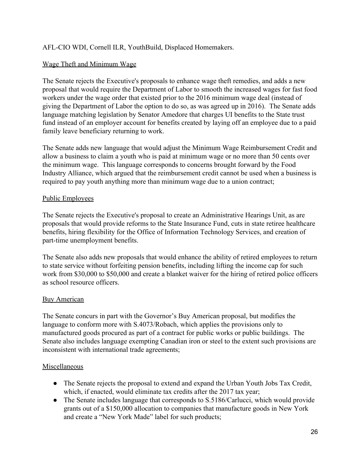# AFL-CIO WDI, Cornell ILR, YouthBuild, Displaced Homemakers.

## Wage Theft and Minimum Wage

The Senate rejects the Executive's proposals to enhance wage theft remedies, and adds a new proposal that would require the Department of Labor to smooth the increased wages for fast food workers under the wage order that existed prior to the 2016 minimum wage deal (instead of giving the Department of Labor the option to do so, as was agreed up in 2016). The Senate adds language matching legislation by Senator Amedore that charges UI benefits to the State trust fund instead of an employer account for benefits created by laying off an employee due to a paid family leave beneficiary returning to work.

The Senate adds new language that would adjust the Minimum Wage Reimbursement Credit and allow a business to claim a youth who is paid at minimum wage or no more than 50 cents over the minimum wage. This language corresponds to concerns brought forward by the Food Industry Alliance, which argued that the reimbursement credit cannot be used when a business is required to pay youth anything more than minimum wage due to a union contract;

### Public Employees

The Senate rejects the Executive's proposal to create an Administrative Hearings Unit, as are proposals that would provide reforms to the State Insurance Fund, cuts in state retiree healthcare benefits, hiring flexibility for the Office of Information Technology Services, and creation of part-time unemployment benefits.

The Senate also adds new proposals that would enhance the ability of retired employees to return to state service without forfeiting pension benefits, including lifting the income cap for such work from \$30,000 to \$50,000 and create a blanket waiver for the hiring of retired police officers as school resource officers.

### **Buy American**

The Senate concurs in part with the Governor's Buy American proposal, but modifies the language to conform more with S.4073/Robach, which applies the provisions only to manufactured goods procured as part of a contract for public works or public buildings. The Senate also includes language exempting Canadian iron or steel to the extent such provisions are inconsistent with international trade agreements;

### Miscellaneous

- The Senate rejects the proposal to extend and expand the Urban Youth Jobs Tax Credit, which, if enacted, would eliminate tax credits after the 2017 tax year;
- The Senate includes language that corresponds to S.5186/Carlucci, which would provide grants out of a \$150,000 allocation to companies that manufacture goods in New York and create a "New York Made" label for such products;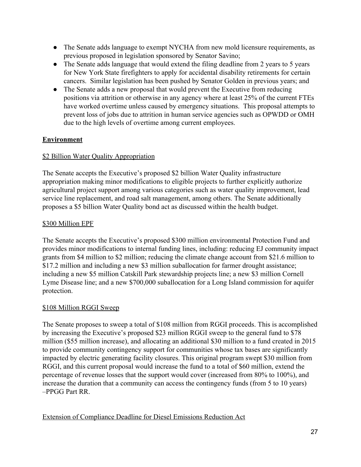- The Senate adds language to exempt NYCHA from new mold licensure requirements, as previous proposed in legislation sponsored by Senator Savino;
- The Senate adds language that would extend the filing deadline from 2 years to 5 years for New York State firefighters to apply for accidental disability retirements for certain cancers. Similar legislation has been pushed by Senator Golden in previous years; and
- The Senate adds a new proposal that would prevent the Executive from reducing positions via attrition or otherwise in any agency where at least 25% of the current FTEs have worked overtime unless caused by emergency situations. This proposal attempts to prevent loss of jobs due to attrition in human service agencies such as OPWDD or OMH due to the high levels of overtime among current employees.

# **Environment**

## \$2 Billion Water Quality Appropriation

The Senate accepts the Executive's proposed \$2 billion Water Quality infrastructure appropriation making minor modifications to eligible projects to further explicitly authorize agricultural project support among various categories such as water quality improvement, lead service line replacement, and road salt management, among others. The Senate additionally proposes a \$5 billion Water Quality bond act as discussed within the health budget.

# \$300 Million EPF

The Senate accepts the Executive's proposed \$300 million environmental Protection Fund and provides minor modifications to internal funding lines, including: reducing EJ community impact grants from \$4 million to \$2 million; reducing the climate change account from \$21.6 million to \$17.2 million and including a new \$3 million suballocation for farmer drought assistance; including a new \$5 million Catskill Park stewardship projects line; a new \$3 million Cornell Lyme Disease line; and a new \$700,000 suballocation for a Long Island commission for aquifer protection.

### \$108 Million RGGI Sweep

The Senate proposes to sweep a total of \$108 million from RGGI proceeds. This is accomplished by increasing the Executive's proposed \$23 million RGGI sweep to the general fund to \$78 million (\$55 million increase), and allocating an additional \$30 million to a fund created in 2015 to provide community contingency support for communities whose tax bases are significantly impacted by electric generating facility closures. This original program swept \$30 million from RGGI, and this current proposal would increase the fund to a total of \$60 million, extend the percentage of revenue losses that the support would cover (increased from 80% to 100%), and increase the duration that a community can access the contingency funds (from 5 to 10 years) –PPGG Part RR.

Extension of Compliance Deadline for Diesel Emissions Reduction Act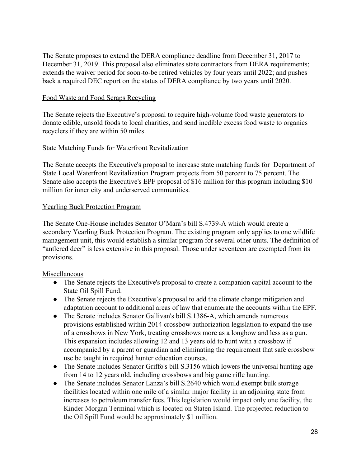The Senate proposes to extend the DERA compliance deadline from December 31, 2017 to December 31, 2019. This proposal also eliminates state contractors from DERA requirements; extends the waiver period for soon-to-be retired vehicles by four years until 2022; and pushes back a required DEC report on the status of DERA compliance by two years until 2020.

#### Food Waste and Food Scraps Recycling

The Senate rejects the Executive's proposal to require high-volume food waste generators to donate edible, unsold foods to local charities, and send inedible excess food waste to organics recyclers if they are within 50 miles.

### State Matching Funds for Waterfront Revitalization

The Senate accepts the Executive's proposal to increase state matching funds for Department of State Local Waterfront Revitalization Program projects from 50 percent to 75 percent. The Senate also accepts the Executive's EPF proposal of \$16 million for this program including \$10 million for inner city and underserved communities.

#### Yearling Buck Protection Program

The Senate One-House includes Senator O'Mara's bill S.4739-A which would create a secondary Yearling Buck Protection Program. The existing program only applies to one wildlife management unit, this would establish a similar program for several other units. The definition of "antlered deer" is less extensive in this proposal. Those under seventeen are exempted from its provisions.

### Miscellaneous

- The Senate rejects the Executive's proposal to create a companion capital account to the State Oil Spill Fund.
- The Senate rejects the Executive's proposal to add the climate change mitigation and adaptation account to additional areas of law that enumerate the accounts within the EPF.
- The Senate includes Senator Gallivan's bill S.1386-A, which amends numerous provisions established within 2014 crossbow authorization legislation to expand the use of a crossbows in New York, treating crossbows more as a longbow and less as a gun. This expansion includes allowing 12 and 13 years old to hunt with a crossbow if accompanied by a parent or guardian and eliminating the requirement that safe crossbow use be taught in required hunter education courses.
- The Senate includes Senator Griffo's bill S.3156 which lowers the universal hunting age from 14 to 12 years old, including crossbows and big game rifle hunting.
- The Senate includes Senator Lanza's bill S.2640 which would exempt bulk storage facilities located within one mile of a similar major facility in an adjoining state from increases to petroleum transfer fees. This legislation would impact only one facility, the Kinder Morgan Terminal which is located on Staten Island. The projected reduction to the Oil Spill Fund would be approximately \$1 million.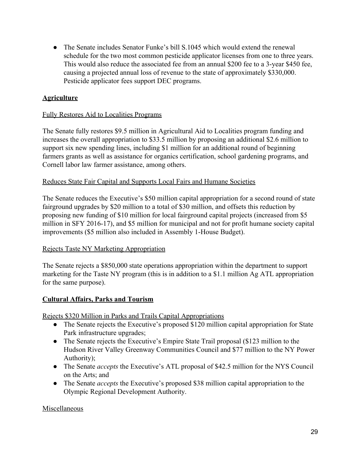• The Senate includes Senator Funke's bill S.1045 which would extend the renewal schedule for the two most common pesticide applicator licenses from one to three years. This would also reduce the associated fee from an annual \$200 fee to a 3-year \$450 fee, causing a projected annual loss of revenue to the state of approximately \$330,000. Pesticide applicator fees support DEC programs.

## **Agriculture**

#### Fully Restores Aid to Localities Programs

The Senate fully restores \$9.5 million in Agricultural Aid to Localities program funding and increases the overall appropriation to \$33.5 million by proposing an additional \$2.6 million to support six new spending lines, including \$1 million for an additional round of beginning farmers grants as well as assistance for organics certification, school gardening programs, and Cornell labor law farmer assistance, among others.

#### Reduces State Fair Capital and Supports Local Fairs and Humane Societies

The Senate reduces the Executive's \$50 million capital appropriation for a second round of state fairground upgrades by \$20 million to a total of \$30 million, and offsets this reduction by proposing new funding of \$10 million for local fairground capital projects (increased from \$5 million in SFY 2016-17), and \$5 million for municipal and not for profit humane society capital improvements (\$5 million also included in Assembly 1-House Budget).

#### Rejects Taste NY Marketing Appropriation

The Senate rejects a \$850,000 state operations appropriation within the department to support marketing for the Taste NY program (this is in addition to a \$1.1 million Ag ATL appropriation for the same purpose).

#### **Cultural Affairs, Parks and Tourism**

Rejects \$320 Million in Parks and Trails Capital Appropriations

- The Senate rejects the Executive's proposed \$120 million capital appropriation for State Park infrastructure upgrades;
- The Senate rejects the Executive's Empire State Trail proposal (\$123 million to the Hudson River Valley Greenway Communities Council and \$77 million to the NY Power Authority);
- The Senate *accepts* the Executive's ATL proposal of \$42.5 million for the NYS Council on the Arts; and
- The Senate *accepts* the Executive's proposed \$38 million capital appropriation to the Olympic Regional Development Authority.

#### Miscellaneous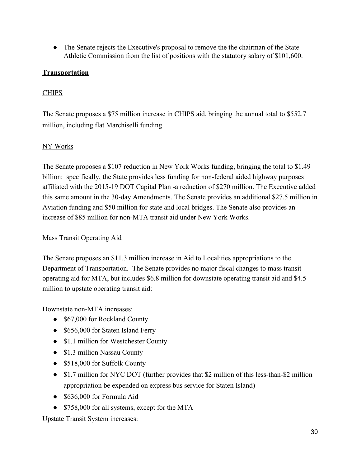● The Senate rejects the Executive's proposal to remove the the chairman of the State Athletic Commission from the list of positions with the statutory salary of \$101,600.

# **Transportation**

## **CHIPS**

The Senate proposes a \$75 million increase in CHIPS aid, bringing the annual total to \$552.7 million, including flat Marchiselli funding.

## NY Works

The Senate proposes a \$107 reduction in New York Works funding, bringing the total to \$1.49 billion: specifically, the State provides less funding for non-federal aided highway purposes affiliated with the 2015-19 DOT Capital Plan -a reduction of \$270 million. The Executive added this same amount in the 30-day Amendments. The Senate provides an additional \$27.5 million in Aviation funding and \$50 million for state and local bridges. The Senate also provides an increase of \$85 million for non-MTA transit aid under New York Works.

### Mass Transit Operating Aid

The Senate proposes an \$11.3 million increase in Aid to Localities appropriations to the Department of Transportation. The Senate provides no major fiscal changes to mass transit operating aid for MTA, but includes \$6.8 million for downstate operating transit aid and \$4.5 million to upstate operating transit aid:

Downstate non-MTA increases:

- \$67,000 for Rockland County
- \$656,000 for Staten Island Ferry
- \$1.1 million for Westchester County
- \$1.3 million Nassau County
- \$518,000 for Suffolk County
- \$1.7 million for NYC DOT (further provides that \$2 million of this less-than-\$2 million appropriation be expended on express bus service for Staten Island)
- \$636,000 for Formula Aid
- \$758,000 for all systems, except for the MTA

Upstate Transit System increases: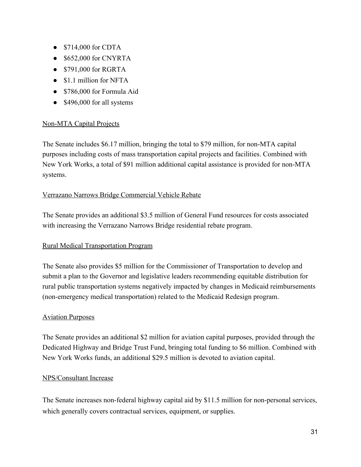- \$714,000 for CDTA
- \$652,000 for CNYRTA
- \$791,000 for RGRTA
- \$1.1 million for NFTA
- \$786,000 for Formula Aid
- \$496,000 for all systems

## Non-MTA Capital Projects

The Senate includes \$6.17 million, bringing the total to \$79 million, for non-MTA capital purposes including costs of mass transportation capital projects and facilities. Combined with New York Works, a total of \$91 million additional capital assistance is provided for non-MTA systems.

## Verrazano Narrows Bridge Commercial Vehicle Rebate

The Senate provides an additional \$3.5 million of General Fund resources for costs associated with increasing the Verrazano Narrows Bridge residential rebate program.

### Rural Medical Transportation Program

The Senate also provides \$5 million for the Commissioner of Transportation to develop and submit a plan to the Governor and legislative leaders recommending equitable distribution for rural public transportation systems negatively impacted by changes in Medicaid reimbursements (non-emergency medical transportation) related to the Medicaid Redesign program.

### Aviation Purposes

The Senate provides an additional \$2 million for aviation capital purposes, provided through the Dedicated Highway and Bridge Trust Fund, bringing total funding to \$6 million. Combined with New York Works funds, an additional \$29.5 million is devoted to aviation capital.

### NPS/Consultant Increase

The Senate increases non-federal highway capital aid by \$11.5 million for non-personal services, which generally covers contractual services, equipment, or supplies.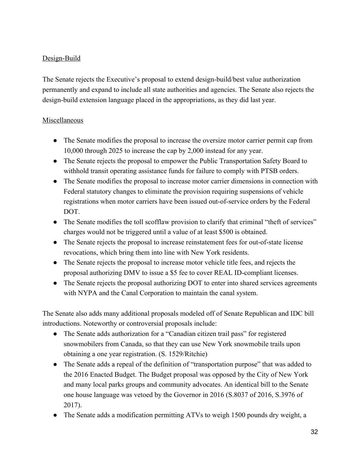# Design-Build

The Senate rejects the Executive's proposal to extend design-build/best value authorization permanently and expand to include all state authorities and agencies. The Senate also rejects the design-build extension language placed in the appropriations, as they did last year.

# Miscellaneous

- The Senate modifies the proposal to increase the oversize motor carrier permit cap from 10,000 through 2025 to increase the cap by 2,000 instead for any year.
- The Senate rejects the proposal to empower the Public Transportation Safety Board to withhold transit operating assistance funds for failure to comply with PTSB orders.
- The Senate modifies the proposal to increase motor carrier dimensions in connection with Federal statutory changes to eliminate the provision requiring suspensions of vehicle registrations when motor carriers have been issued out-of-service orders by the Federal DOT.
- The Senate modifies the toll scofflaw provision to clarify that criminal "theft of services" charges would not be triggered until a value of at least \$500 is obtained.
- The Senate rejects the proposal to increase reinstatement fees for out-of-state license revocations, which bring them into line with New York residents.
- The Senate rejects the proposal to increase motor vehicle title fees, and rejects the proposal authorizing DMV to issue a \$5 fee to cover REAL ID-compliant licenses.
- The Senate rejects the proposal authorizing DOT to enter into shared services agreements with NYPA and the Canal Corporation to maintain the canal system.

The Senate also adds many additional proposals modeled off of Senate Republican and IDC bill introductions. Noteworthy or controversial proposals include:

- The Senate adds authorization for a "Canadian citizen trail pass" for registered snowmobilers from Canada, so that they can use New York snowmobile trails upon obtaining a one year registration. (S. 1529/Ritchie)
- The Senate adds a repeal of the definition of "transportation purpose" that was added to the 2016 Enacted Budget. The Budget proposal was opposed by the City of New York and many local parks groups and community advocates. An identical bill to the Senate one house language was vetoed by the Governor in 2016 (S.8037 of 2016, S.3976 of 2017).
- The Senate adds a modification permitting ATVs to weigh 1500 pounds dry weight, a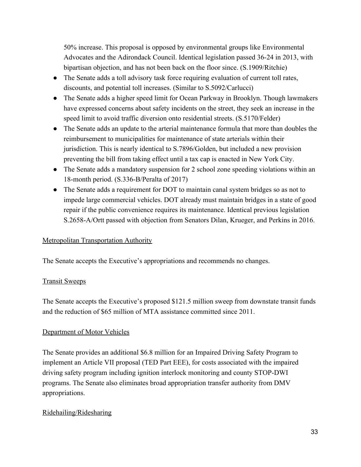50% increase. This proposal is opposed by environmental groups like Environmental Advocates and the Adirondack Council. Identical legislation passed 36-24 in 2013, with bipartisan objection, and has not been back on the floor since. (S.1909/Ritchie)

- The Senate adds a toll advisory task force requiring evaluation of current toll rates, discounts, and potential toll increases. (Similar to S.5092/Carlucci)
- The Senate adds a higher speed limit for Ocean Parkway in Brooklyn. Though lawmakers have expressed concerns about safety incidents on the street, they seek an increase in the speed limit to avoid traffic diversion onto residential streets. (S.5170/Felder)
- The Senate adds an update to the arterial maintenance formula that more than doubles the reimbursement to municipalities for maintenance of state arterials within their jurisdiction. This is nearly identical to S.7896/Golden, but included a new provision preventing the bill from taking effect until a tax cap is enacted in New York City.
- The Senate adds a mandatory suspension for 2 school zone speeding violations within an 18-month period. (S.336-B/Peralta of 2017)
- The Senate adds a requirement for DOT to maintain canal system bridges so as not to impede large commercial vehicles. DOT already must maintain bridges in a state of good repair if the public convenience requires its maintenance. Identical previous legislation S.2658-A/Ortt passed with objection from Senators Dilan, Krueger, and Perkins in 2016.

### Metropolitan Transportation Authority

The Senate accepts the Executive's appropriations and recommends no changes.

### Transit Sweeps

The Senate accepts the Executive's proposed \$121.5 million sweep from downstate transit funds and the reduction of \$65 million of MTA assistance committed since 2011.

### Department of Motor Vehicles

The Senate provides an additional \$6.8 million for an Impaired Driving Safety Program to implement an Article VII proposal (TED Part EEE), for costs associated with the impaired driving safety program including ignition interlock monitoring and county STOP-DWI programs. The Senate also eliminates broad appropriation transfer authority from DMV appropriations.

### Ridehailing/Ridesharing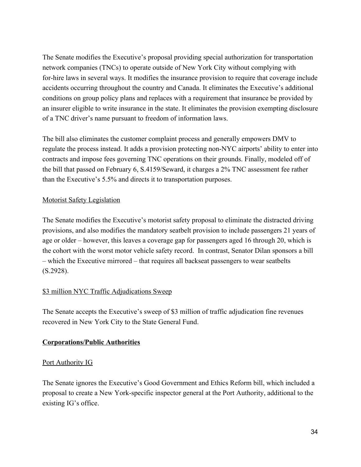The Senate modifies the Executive's proposal providing special authorization for transportation network companies (TNCs) to operate outside of New York City without complying with for-hire laws in several ways. It modifies the insurance provision to require that coverage include accidents occurring throughout the country and Canada. It eliminates the Executive's additional conditions on group policy plans and replaces with a requirement that insurance be provided by an insurer eligible to write insurance in the state. It eliminates the provision exempting disclosure of a TNC driver's name pursuant to freedom of information laws.

The bill also eliminates the customer complaint process and generally empowers DMV to regulate the process instead. It adds a provision protecting non-NYC airports' ability to enter into contracts and impose fees governing TNC operations on their grounds. Finally, modeled off of the bill that passed on February 6, S.4159/Seward, it charges a 2% TNC assessment fee rather than the Executive's 5.5% and directs it to transportation purposes.

## Motorist Safety Legislation

The Senate modifies the Executive's motorist safety proposal to eliminate the distracted driving provisions, and also modifies the mandatory seatbelt provision to include passengers 21 years of age or older – however, this leaves a coverage gap for passengers aged 16 through 20, which is the cohort with the worst motor vehicle safety record. In contrast, Senator Dilan sponsors a bill – which the Executive mirrored – that requires all backseat passengers to wear seatbelts (S.2928).

# \$3 million NYC Traffic Adjudications Sweep

The Senate accepts the Executive's sweep of \$3 million of traffic adjudication fine revenues recovered in New York City to the State General Fund.

# **Corporations/Public Authorities**

### Port Authority IG

The Senate ignores the Executive's Good Government and Ethics Reform bill, which included a proposal to create a New York-specific inspector general at the Port Authority, additional to the existing IG's office.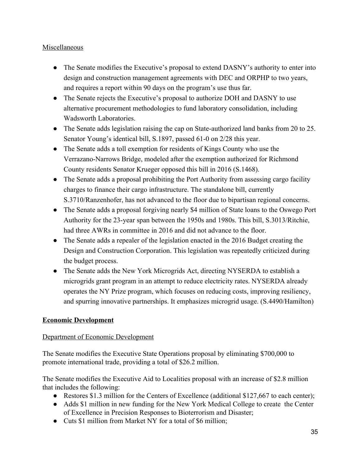## Miscellaneous

- The Senate modifies the Executive's proposal to extend DASNY's authority to enter into design and construction management agreements with DEC and ORPHP to two years, and requires a report within 90 days on the program's use thus far.
- The Senate rejects the Executive's proposal to authorize DOH and DASNY to use alternative procurement methodologies to fund laboratory consolidation, including Wadsworth Laboratories.
- The Senate adds legislation raising the cap on State-authorized land banks from 20 to 25. Senator Young's identical bill, S.1897, passed 61-0 on 2/28 this year.
- The Senate adds a toll exemption for residents of Kings County who use the Verrazano-Narrows Bridge, modeled after the exemption authorized for Richmond County residents Senator Krueger opposed this bill in 2016 (S.1468).
- The Senate adds a proposal prohibiting the Port Authority from assessing cargo facility charges to finance their cargo infrastructure. The standalone bill, currently S.3710/Ranzenhofer, has not advanced to the floor due to bipartisan regional concerns.
- The Senate adds a proposal forgiving nearly \$4 million of State loans to the Oswego Port Authority for the 23-year span between the 1950s and 1980s. This bill, S.3013/Ritchie, had three AWRs in committee in 2016 and did not advance to the floor.
- The Senate adds a repealer of the legislation enacted in the 2016 Budget creating the Design and Construction Corporation. This legislation was repeatedly criticized during the budget process.
- The Senate adds the New York Microgrids Act, directing NYSERDA to establish a microgrids grant program in an attempt to reduce electricity rates. NYSERDA already operates the NY Prize program, which focuses on reducing costs, improving resiliency, and spurring innovative partnerships. It emphasizes microgrid usage. (S.4490/Hamilton)

# **Economic Development**

# Department of Economic Development

The Senate modifies the Executive State Operations proposal by eliminating \$700,000 to promote international trade, providing a total of \$26.2 million.

The Senate modifies the Executive Aid to Localities proposal with an increase of \$2.8 million that includes the following:

- Restores \$1.3 million for the Centers of Excellence (additional \$127,667 to each center);
- Adds \$1 million in new funding for the New York Medical College to create the Center of Excellence in Precision Responses to Bioterrorism and Disaster;
- Cuts \$1 million from Market NY for a total of \$6 million;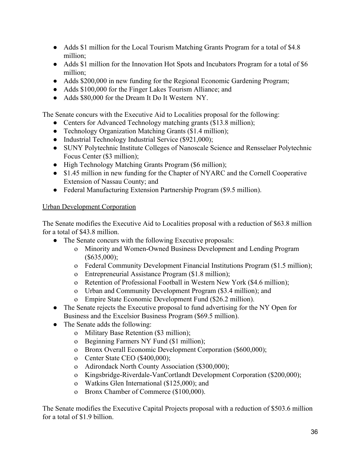- Adds \$1 million for the Local Tourism Matching Grants Program for a total of \$4.8 million;
- Adds \$1 million for the Innovation Hot Spots and Incubators Program for a total of \$6 million;
- Adds \$200,000 in new funding for the Regional Economic Gardening Program;
- Adds \$100,000 for the Finger Lakes Tourism Alliance; and
- Adds \$80,000 for the Dream It Do It Western NY.

The Senate concurs with the Executive Aid to Localities proposal for the following:

- Centers for Advanced Technology matching grants (\$13.8 million);
- Technology Organization Matching Grants (\$1.4 million);
- Industrial Technology Industrial Service (\$921,000);
- SUNY Polytechnic Institute Colleges of Nanoscale Science and Rensselaer Polytechnic Focus Center (\$3 million);
- High Technology Matching Grants Program (\$6 million);
- \$1.45 million in new funding for the Chapter of NYARC and the Cornell Cooperative Extension of Nassau County; and
- Federal Manufacturing Extension Partnership Program (\$9.5 million).

### Urban Development Corporation

The Senate modifies the Executive Aid to Localities proposal with a reduction of \$63.8 million for a total of \$43.8 million.

- The Senate concurs with the following Executive proposals:
	- o Minority and Women-Owned Business Development and Lending Program  $($635,000);$
	- o Federal Community Development Financial Institutions Program (\$1.5 million);
	- o Entrepreneurial Assistance Program (\$1.8 million);
	- o Retention of Professional Football in Western New York (\$4.6 million);
	- o Urban and Community Development Program (\$3.4 million); and
	- o Empire State Economic Development Fund (\$26.2 million).
- The Senate rejects the Executive proposal to fund advertising for the NY Open for Business and the Excelsior Business Program (\$69.5 million).
- The Senate adds the following:
	- o Military Base Retention (\$3 million);
	- o Beginning Farmers NY Fund (\$1 million);
	- o Bronx Overall Economic Development Corporation (\$600,000);
	- o Center State CEO (\$400,000);
	- o Adirondack North County Association (\$300,000);
	- o Kingsbridge-Riverdale-VanCortlandt Development Corporation (\$200,000);
	- o Watkins Glen International (\$125,000); and
	- o Bronx Chamber of Commerce (\$100,000).

The Senate modifies the Executive Capital Projects proposal with a reduction of \$503.6 million for a total of \$1.9 billion.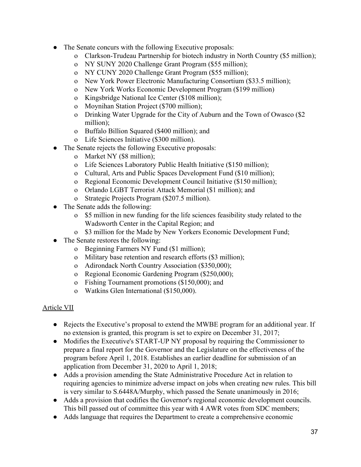- The Senate concurs with the following Executive proposals:
	- o Clarkson-Trudeau Partnership for biotech industry in North Country (\$5 million);
	- o NY SUNY 2020 Challenge Grant Program (\$55 million);
	- o NY CUNY 2020 Challenge Grant Program (\$55 million);
	- o New York Power Electronic Manufacturing Consortium (\$33.5 million);
	- o New York Works Economic Development Program (\$199 million)
	- o Kingsbridge National Ice Center (\$108 million);
	- o Moynihan Station Project (\$700 million);
	- o Drinking Water Upgrade for the City of Auburn and the Town of Owasco (\$2 million);
	- o Buffalo Billion Squared (\$400 million); and
	- o Life Sciences Initiative (\$300 million).
- The Senate rejects the following Executive proposals:
	- o Market NY (\$8 million);
	- o Life Sciences Laboratory Public Health Initiative (\$150 million);
	- o Cultural, Arts and Public Spaces Development Fund (\$10 million);
	- o Regional Economic Development Council Initiative (\$150 million);
	- o Orlando LGBT Terrorist Attack Memorial (\$1 million); and
	- o Strategic Projects Program (\$207.5 million).
- The Senate adds the following:
	- o \$5 million in new funding for the life sciences feasibility study related to the Wadsworth Center in the Capital Region; and
	- o \$3 million for the Made by New Yorkers Economic Development Fund;
- The Senate restores the following:
	- o Beginning Farmers NY Fund (\$1 million);
	- o Military base retention and research efforts (\$3 million);
	- o Adirondack North Country Association (\$350,000);
	- o Regional Economic Gardening Program (\$250,000);
	- o Fishing Tournament promotions (\$150,000); and
	- o Watkins Glen International (\$150,000).

# Article VII

- **●** Rejects the Executive's proposal to extend the MWBE program for an additional year. If no extension is granted, this program is set to expire on December 31, 2017;
- **●** Modifies the Executive's START-UP NY proposal by requiring the Commissioner to prepare a final report for the Governor and the Legislature on the effectiveness of the program before April 1, 2018. Establishes an earlier deadline for submission of an application from December 31, 2020 to April 1, 2018;
- **●** Adds a provision amending the State Administrative Procedure Act in relation to requiring agencies to minimize adverse impact on jobs when creating new rules. This bill is very similar to S.6448A/Murphy, which passed the Senate unanimously in 2016;
- Adds a provision that codifies the Governor's regional economic development councils. This bill passed out of committee this year with 4 AWR votes from SDC members;
- Adds language that requires the Department to create a comprehensive economic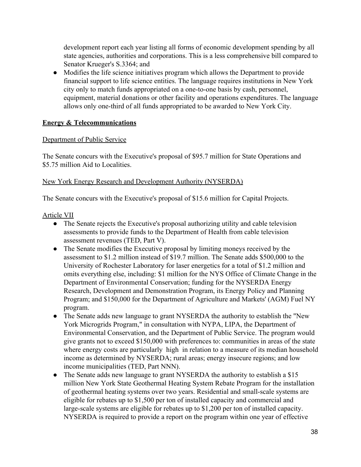development report each year listing all forms of economic development spending by all state agencies, authorities and corporations. This is a less comprehensive bill compared to Senator Krueger's S.3364; and

● Modifies the life science initiatives program which allows the Department to provide financial support to life science entities. The language requires institutions in New York city only to match funds appropriated on a one-to-one basis by cash, personnel, equipment, material donations or other facility and operations expenditures. The language allows only one-third of all funds appropriated to be awarded to New York City.

## **Energy & Telecommunications**

### Department of Public Service

The Senate concurs with the Executive's proposal of \$95.7 million for State Operations and \$5.75 million Aid to Localities.

## New York Energy Research and Development Authority (NYSERDA)

The Senate concurs with the Executive's proposal of \$15.6 million for Capital Projects.

### Article VII

- The Senate rejects the Executive's proposal authorizing utility and cable television assessments to provide funds to the Department of Health from cable television assessment revenues (TED, Part V).
- The Senate modifies the Executive proposal by limiting moneys received by the assessment to \$1.2 million instead of \$19.7 million. The Senate adds \$500,000 to the University of Rochester Laboratory for laser energetics for a total of \$1.2 million and omits everything else, including: \$1 million for the NYS Office of Climate Change in the Department of Environmental Conservation; funding for the NYSERDA Energy Research, Development and Demonstration Program, its Energy Policy and Planning Program; and \$150,000 for the Department of Agriculture and Markets' (AGM) Fuel NY program.
- The Senate adds new language to grant NYSERDA the authority to establish the "New York Microgrids Program," in consultation with NYPA, LIPA, the Department of Environmental Conservation, and the Department of Public Service. The program would give grants not to exceed \$150,000 with preferences to: communities in areas of the state where energy costs are particularly high in relation to a measure of its median household income as determined by NYSERDA; rural areas; energy insecure regions; and low income municipalities (TED, Part NNN).
- The Senate adds new language to grant NYSERDA the authority to establish a \$15 million New York State Geothermal Heating System Rebate Program for the installation of geothermal heating systems over two years. Residential and small-scale systems are eligible for rebates up to \$1,500 per ton of installed capacity and commercial and large-scale systems are eligible for rebates up to \$1,200 per ton of installed capacity. NYSERDA is required to provide a report on the program within one year of effective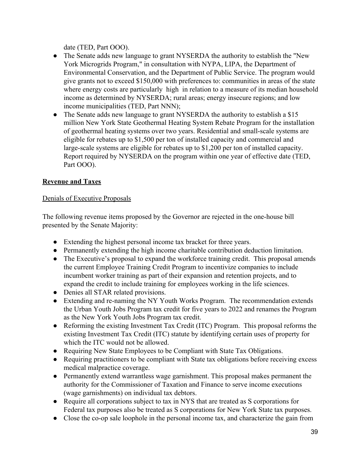date (TED, Part OOO).

- The Senate adds new language to grant NYSERDA the authority to establish the "New" York Microgrids Program," in consultation with NYPA, LIPA, the Department of Environmental Conservation, and the Department of Public Service. The program would give grants not to exceed \$150,000 with preferences to: communities in areas of the state where energy costs are particularly high in relation to a measure of its median household income as determined by NYSERDA; rural areas; energy insecure regions; and low income municipalities (TED, Part NNN);
- The Senate adds new language to grant NYSERDA the authority to establish a \$15 million New York State Geothermal Heating System Rebate Program for the installation of geothermal heating systems over two years. Residential and small-scale systems are eligible for rebates up to \$1,500 per ton of installed capacity and commercial and large-scale systems are eligible for rebates up to \$1,200 per ton of installed capacity. Report required by NYSERDA on the program within one year of effective date (TED, Part OOO).

# **Revenue and Taxes**

## Denials of Executive Proposals

The following revenue items proposed by the Governor are rejected in the one-house bill presented by the Senate Majority:

- Extending the highest personal income tax bracket for three years.
- Permanently extending the high income charitable contribution deduction limitation.
- The Executive's proposal to expand the workforce training credit. This proposal amends the current Employee Training Credit Program to incentivize companies to include incumbent worker training as part of their expansion and retention projects, and to expand the credit to include training for employees working in the life sciences.
- Denies all STAR related provisions.
- Extending and re-naming the NY Youth Works Program. The recommendation extends the Urban Youth Jobs Program tax credit for five years to 2022 and renames the Program as the New York Youth Jobs Program tax credit.
- Reforming the existing Investment Tax Credit (ITC) Program. This proposal reforms the existing Investment Tax Credit (ITC) statute by identifying certain uses of property for which the ITC would not be allowed.
- Requiring New State Employees to be Compliant with State Tax Obligations.
- Requiring practitioners to be compliant with State tax obligations before receiving excess medical malpractice coverage.
- Permanently extend warrantless wage garnishment. This proposal makes permanent the authority for the Commissioner of Taxation and Finance to serve income executions (wage garnishments) on individual tax debtors.
- Require all corporations subject to tax in NYS that are treated as S corporations for Federal tax purposes also be treated as S corporations for New York State tax purposes.
- Close the co-op sale loophole in the personal income tax, and characterize the gain from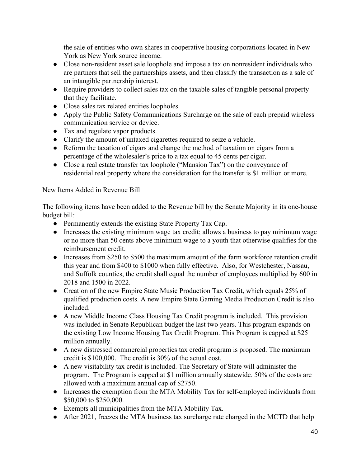the sale of entities who own shares in cooperative housing corporations located in New York as New York source income.

- Close non-resident asset sale loophole and impose a tax on nonresident individuals who are partners that sell the partnerships assets, and then classify the transaction as a sale of an intangible partnership interest.
- Require providers to collect sales tax on the taxable sales of tangible personal property that they facilitate.
- Close sales tax related entities loopholes.
- Apply the Public Safety Communications Surcharge on the sale of each prepaid wireless communication service or device.
- Tax and regulate vapor products.
- Clarify the amount of untaxed cigarettes required to seize a vehicle.
- Reform the taxation of cigars and change the method of taxation on cigars from a percentage of the wholesaler's price to a tax equal to 45 cents per cigar.
- Close a real estate transfer tax loophole ("Mansion Tax") on the conveyance of residential real property where the consideration for the transfer is \$1 million or more.

# New Items Added in Revenue Bill

The following items have been added to the Revenue bill by the Senate Majority in its one-house budget bill:

- Permanently extends the existing State Property Tax Cap.
- Increases the existing minimum wage tax credit; allows a business to pay minimum wage or no more than 50 cents above minimum wage to a youth that otherwise qualifies for the reimbursement credit.
- Increases from \$250 to \$500 the maximum amount of the farm workforce retention credit this year and from \$400 to \$1000 when fully effective. Also, for Westchester, Nassau, and Suffolk counties, the credit shall equal the number of employees multiplied by 600 in 2018 and 1500 in 2022.
- Creation of the new Empire State Music Production Tax Credit, which equals 25% of qualified production costs. A new Empire State Gaming Media Production Credit is also included.
- A new Middle Income Class Housing Tax Credit program is included. This provision was included in Senate Republican budget the last two years. This program expands on the existing Low Income Housing Tax Credit Program. This Program is capped at \$25 million annually.
- A new distressed commercial properties tax credit program is proposed. The maximum credit is \$100,000. The credit is 30% of the actual cost.
- A new visitability tax credit is included. The Secretary of State will administer the program. The Program is capped at \$1 million annually statewide. 50% of the costs are allowed with a maximum annual cap of \$2750.
- Increases the exemption from the MTA Mobility Tax for self-employed individuals from \$50,000 to \$250,000.
- Exempts all municipalities from the MTA Mobility Tax.
- After 2021, freezes the MTA business tax surcharge rate charged in the MCTD that help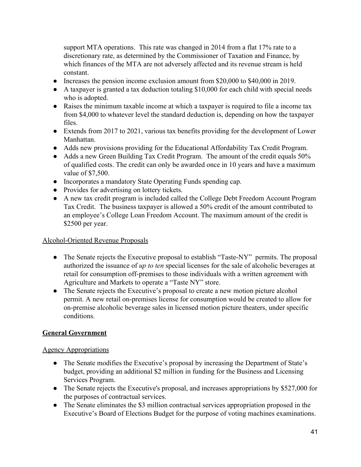support MTA operations. This rate was changed in 2014 from a flat 17% rate to a discretionary rate, as determined by the Commissioner of Taxation and Finance, by which finances of the MTA are not adversely affected and its revenue stream is held constant.

- Increases the pension income exclusion amount from \$20,000 to \$40,000 in 2019.
- A taxpayer is granted a tax deduction totaling \$10,000 for each child with special needs who is adopted.
- Raises the minimum taxable income at which a taxpayer is required to file a income tax from \$4,000 to whatever level the standard deduction is, depending on how the taxpayer files.
- Extends from 2017 to 2021, various tax benefits providing for the development of Lower Manhattan.
- Adds new provisions providing for the Educational Affordability Tax Credit Program.
- Adds a new Green Building Tax Credit Program. The amount of the credit equals 50% of qualified costs. The credit can only be awarded once in 10 years and have a maximum value of \$7,500.
- Incorporates a mandatory State Operating Funds spending cap.
- Provides for advertising on lottery tickets.
- A new tax credit program is included called the College Debt Freedom Account Program Tax Credit. The business taxpayer is allowed a 50% credit of the amount contributed to an employee's College Loan Freedom Account. The maximum amount of the credit is \$2500 per year.

### Alcohol-Oriented Revenue Proposals

- The Senate rejects the Executive proposal to establish "Taste-NY" permits. The proposal authorized the issuance of *up to ten* special licenses for the sale of alcoholic beverages at retail for consumption off-premises to those individuals with a written agreement with Agriculture and Markets to operate a "Taste NY" store.
- The Senate rejects the Executive's proposal to create a new motion picture alcohol permit. A new retail on-premises license for consumption would be created to allow for on-premise alcoholic beverage sales in licensed motion picture theaters, under specific conditions.

### **General Government**

### Agency Appropriations

- The Senate modifies the Executive's proposal by increasing the Department of State's budget, providing an additional \$2 million in funding for the Business and Licensing Services Program.
- The Senate rejects the Executive's proposal, and increases appropriations by \$527,000 for the purposes of contractual services.
- The Senate eliminates the \$3 million contractual services appropriation proposed in the Executive's Board of Elections Budget for the purpose of voting machines examinations.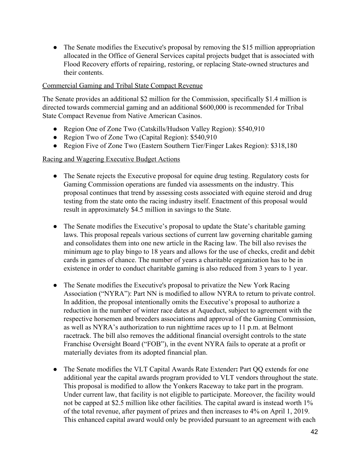• The Senate modifies the Executive's proposal by removing the \$15 million appropriation allocated in the Office of General Services capital projects budget that is associated with Flood Recovery efforts of repairing, restoring, or replacing State-owned structures and their contents.

#### Commercial Gaming and Tribal State Compact Revenue

The Senate provides an additional \$2 million for the Commission, specifically \$1.4 million is directed towards commercial gaming and an additional \$600,000 is recommended for Tribal State Compact Revenue from Native American Casinos.

- Region One of Zone Two (Catskills/Hudson Valley Region): \$540,910
- Region Two of Zone Two (Capital Region): \$540,910
- Region Five of Zone Two (Eastern Southern Tier/Finger Lakes Region): \$318,180

#### Racing and Wagering Executive Budget Actions

- **●** The Senate rejects the Executive proposal for equine drug testing. Regulatory costs for Gaming Commission operations are funded via assessments on the industry. This proposal continues that trend by assessing costs associated with equine steroid and drug testing from the state onto the racing industry itself. Enactment of this proposal would result in approximately \$4.5 million in savings to the State.
- The Senate modifies the Executive's proposal to update the State's charitable gaming laws. This proposal repeals various sections of current law governing charitable gaming and consolidates them into one new article in the Racing law. The bill also revises the minimum age to play bingo to 18 years and allows for the use of checks, credit and debit cards in games of chance. The number of years a charitable organization has to be in existence in order to conduct charitable gaming is also reduced from 3 years to 1 year.
- The Senate modifies the Executive's proposal to privatize the New York Racing Association ("NYRA"): Part NN is modified to allow NYRA to return to private control. In addition, the proposal intentionally omits the Executive's proposal to authorize a reduction in the number of winter race dates at Aqueduct, subject to agreement with the respective horsemen and breeders associations and approval of the Gaming Commission, as well as NYRA's authorization to run nighttime races up to 11 p.m. at Belmont racetrack. The bill also removes the additional financial oversight controls to the state Franchise Oversight Board ("FOB"), in the event NYRA fails to operate at a profit or materially deviates from its adopted financial plan.
- The Senate modifies the VLT Capital Awards Rate Extender**:** Part QQ extends for one additional year the capital awards program provided to VLT vendors throughout the state. This proposal is modified to allow the Yonkers Raceway to take part in the program. Under current law, that facility is not eligible to participate. Moreover, the facility would not be capped at \$2.5 million like other facilities. The capital award is instead worth 1% of the total revenue, after payment of prizes and then increases to 4% on April 1, 2019. This enhanced capital award would only be provided pursuant to an agreement with each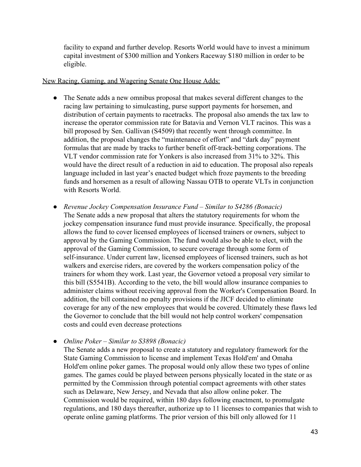facility to expand and further develop. Resorts World would have to invest a minimum capital investment of \$300 million and Yonkers Raceway \$180 million in order to be eligible.

#### New Racing, Gaming, and Wagering Senate One House Adds:

- The Senate adds a new omnibus proposal that makes several different changes to the racing law pertaining to simulcasting, purse support payments for horsemen, and distribution of certain payments to racetracks. The proposal also amends the tax law to increase the operator commission rate for Batavia and Vernon VLT racinos. This was a bill proposed by Sen. Gallivan (S4509) that recently went through committee. In addition, the proposal changes the "maintenance of effort" and "dark day" payment formulas that are made by tracks to further benefit off-track-betting corporations. The VLT vendor commission rate for Yonkers is also increased from 31% to 32%. This would have the direct result of a reduction in aid to education. The proposal also repeals language included in last year's enacted budget which froze payments to the breeding funds and horsemen as a result of allowing Nassau OTB to operate VLTs in conjunction with Resorts World.
- *● Revenue Jockey Compensation Insurance Fund Similar to S4286 (Bonacic)* The Senate adds a new proposal that alters the statutory requirements for whom the jockey compensation insurance fund must provide insurance. Specifically, the proposal allows the fund to cover licensed employees of licensed trainers or owners, subject to approval by the Gaming Commission. The fund would also be able to elect, with the approval of the Gaming Commission, to secure coverage through some form of self-insurance. Under current law, licensed employees of licensed trainers, such as hot walkers and exercise riders, are covered by the workers compensation policy of the trainers for whom they work. Last year, the Governor vetoed a proposal very similar to this bill (S5541B). According to the veto, the bill would allow insurance companies to administer claims without receiving approval from the Worker's Compensation Board. In addition, the bill contained no penalty provisions if the JICF decided to eliminate coverage for any of the new employees that would be covered. Ultimately these flaws led the Governor to conclude that the bill would not help control workers' compensation costs and could even decrease protections

### *● Online Poker – Similar to S3898 (Bonacic)*

The Senate adds a new proposal to create a statutory and regulatory framework for the State Gaming Commission to license and implement Texas Hold'em' and Omaha Hold'em online poker games. The proposal would only allow these two types of online games. The games could be played between persons physically located in the state or as permitted by the Commission through potential compact agreements with other states such as Delaware, New Jersey, and Nevada that also allow online poker. The Commission would be required, within 180 days following enactment, to promulgate regulations, and 180 days thereafter, authorize up to 11 licenses to companies that wish to operate online gaming platforms. The prior version of this bill only allowed for 11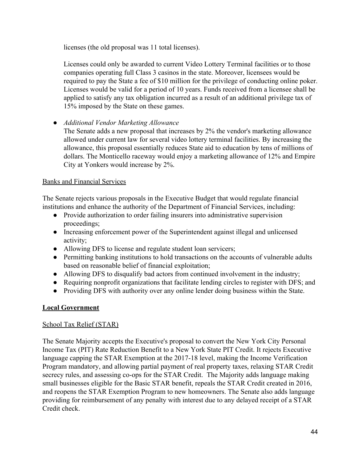licenses (the old proposal was 11 total licenses).

Licenses could only be awarded to current Video Lottery Terminal facilities or to those companies operating full Class 3 casinos in the state. Moreover, licensees would be required to pay the State a fee of \$10 million for the privilege of conducting online poker. Licenses would be valid for a period of 10 years. Funds received from a licensee shall be applied to satisfy any tax obligation incurred as a result of an additional privilege tax of 15% imposed by the State on these games.

*● Additional Vendor Marketing Allowance*

The Senate adds a new proposal that increases by 2% the vendor's marketing allowance allowed under current law for several video lottery terminal facilities. By increasing the allowance, this proposal essentially reduces State aid to education by tens of millions of dollars. The Monticello raceway would enjoy a marketing allowance of 12% and Empire City at Yonkers would increase by 2%.

### Banks and Financial Services

The Senate rejects various proposals in the Executive Budget that would regulate financial institutions and enhance the authority of the Department of Financial Services, including:

- Provide authorization to order failing insurers into administrative supervision proceedings;
- Increasing enforcement power of the Superintendent against illegal and unlicensed activity;
- Allowing DFS to license and regulate student loan servicers;
- Permitting banking institutions to hold transactions on the accounts of vulnerable adults based on reasonable belief of financial exploitation;
- Allowing DFS to disqualify bad actors from continued involvement in the industry;
- Requiring nonprofit organizations that facilitate lending circles to register with DFS; and
- Providing DFS with authority over any online lender doing business within the State.

# **Local Government**

# School Tax Relief (STAR)

The Senate Majority accepts the Executive's proposal to convert the New York City Personal Income Tax (PIT) Rate Reduction Benefit to a New York State PIT Credit. It rejects Executive language capping the STAR Exemption at the 2017-18 level, making the Income Verification Program mandatory, and allowing partial payment of real property taxes, relaxing STAR Credit secrecy rules, and assessing co-ops for the STAR Credit. The Majority adds language making small businesses eligible for the Basic STAR benefit, repeals the STAR Credit created in 2016, and reopens the STAR Exemption Program to new homeowners. The Senate also adds language providing for reimbursement of any penalty with interest due to any delayed receipt of a STAR Credit check.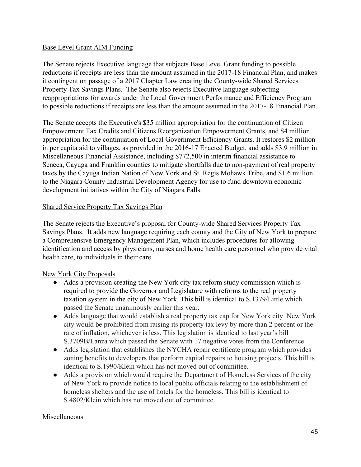#### Base Level Grant AIM Funding

The Senate rejects Executive language that subjects Base Level Grant funding to possible reductions if receipts are less than the amount assumed in the 2017-18 Financial Plan, and makes it contingent on passage of a 2017 Chapter Law creating the County-wide Shared Services Property Tax Savings Plans. The Senate also rejects Executive language subjecting reappropriations for awards under the Local Government Performance and Efficiency Program to possible reductions if receipts are less than the amount assumed in the 2017-18 Financial Plan.

The Senate accepts the Executive's \$35 million appropriation for the continuation of Citizen Empowerment Tax Credits and Citizens Reorganization Empowerment Grants, and \$4 million appropriation for the continuation of Local Government Efficiency Grants. It restores \$2 million in per capita aid to villages, as provided in the 2016-17 Enacted Budget, and adds \$3.9 million in Miscellaneous Financial Assistance, including \$772,500 in interim financial assistance to Seneca, Cayuga and Franklin counties to mitigate shortfalls due to non-payment of real property taxes by the Cayuga Indian Nation of New York and St. Regis Mohawk Tribe, and \$1.6 million to the Niagara County Industrial Development Agency for use to fund downtown economic development initiatives within the City of Niagara Falls.

### Shared Service Property Tax Savings Plan

The Senate rejects the Executive's proposal for County-wide Shared Services Property Tax Savings Plans. It adds new language requiring each county and the City of New York to prepare a Comprehensive Emergency Management Plan, which includes procedures for allowing identification and access by physicians, nurses and home health care personnel who provide vital health care, to individuals in their care.

### New York City Proposals

- Adds a provision creating the New York city tax reform study commission which is required to provide the Governor and Legislature with reforms to the real property taxation system in the city of New York. This bill is identical to S.1379/Little which passed the Senate unanimously earlier this year.
- Adds language that would establish a real property tax cap for New York city. New York city would be prohibited from raising its property tax levy by more than 2 percent or the rate of inflation, whichever is less. This legislation is identical to last year's bill S.3709B/Lanza which passed the Senate with 17 negative votes from the Conference.
- Adds legislation that establishes the NYCHA repair certificate program which provides zoning benefits to developers that perform capital repairs to housing projects. This bill is identical to S.1990/Klein which has not moved out of committee.
- Adds a provision which would require the Department of Homeless Services of the city of New York to provide notice to local public officials relating to the establishment of homeless shelters and the use of hotels for the homeless. This bill is identical to S.4802/Klein which has not moved out of committee.

#### Miscellaneous